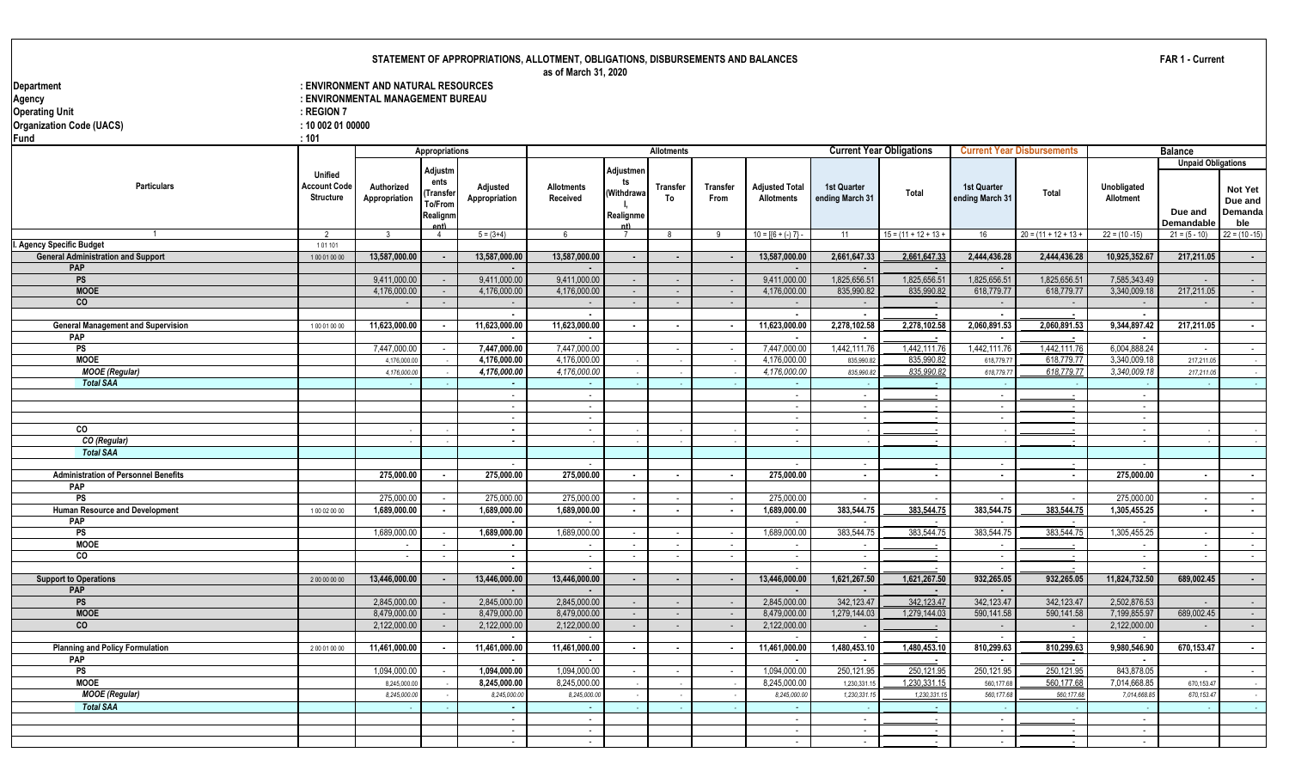#### **STATEMENT OF APPROPRIATIONS, ALLOTMENT, OBLIGATIONS, DISBURSEMENTS AND BALANCES**

|                                                    |                     |                                     |                             |                          | as of March 31, 2020     |            |                   |                 |                          |                          |                                 |                    |                                   |                          |                           |                  |
|----------------------------------------------------|---------------------|-------------------------------------|-----------------------------|--------------------------|--------------------------|------------|-------------------|-----------------|--------------------------|--------------------------|---------------------------------|--------------------|-----------------------------------|--------------------------|---------------------------|------------------|
| Department                                         |                     | : ENVIRONMENT AND NATURAL RESOURCES |                             |                          |                          |            |                   |                 |                          |                          |                                 |                    |                                   |                          |                           |                  |
| Agency                                             |                     | : ENVIRONMENTAL MANAGEMENT BUREAU   |                             |                          |                          |            |                   |                 |                          |                          |                                 |                    |                                   |                          |                           |                  |
| <b>Operating Unit</b>                              | $:$ REGION 7        |                                     |                             |                          |                          |            |                   |                 |                          |                          |                                 |                    |                                   |                          |                           |                  |
|                                                    | : 100020100000      |                                     |                             |                          |                          |            |                   |                 |                          |                          |                                 |                    |                                   |                          |                           |                  |
| <b>Organization Code (UACS)</b>                    |                     |                                     |                             |                          |                          |            |                   |                 |                          |                          |                                 |                    |                                   |                          |                           |                  |
| <b>Fund</b>                                        | : 101               |                                     |                             |                          |                          |            |                   |                 |                          |                          |                                 |                    |                                   |                          |                           |                  |
|                                                    |                     |                                     | <b>Appropriations</b>       |                          |                          |            | <b>Allotments</b> |                 |                          |                          | <b>Current Year Obligations</b> |                    | <b>Current Year Disbursements</b> |                          | <b>Balance</b>            |                  |
|                                                    |                     |                                     | Adjustm                     |                          |                          | Adjustmer  |                   |                 |                          |                          |                                 |                    |                                   |                          | <b>Unpaid Obligations</b> |                  |
|                                                    | <b>Unified</b>      |                                     | ents                        |                          |                          | ts         |                   |                 |                          |                          |                                 |                    |                                   |                          |                           |                  |
| <b>Particulars</b>                                 | <b>Account Code</b> | Authorized                          | Transfe                     | Adjusted                 | Allotments               | (Withdrawa | <b>Transfer</b>   | <b>Transfer</b> | <b>Adjusted Total</b>    | <b>1st Quarter</b>       | Total                           | <b>1st Quarter</b> | Total                             | Unobligated              |                           | Not Yet          |
|                                                    | <b>Structure</b>    | Appropriation                       | To/From                     | Appropriation            | Received                 |            | To                | From            | <b>Allotments</b>        | ending March 31          |                                 | ending March 31    |                                   | Allotment                |                           | Due and          |
|                                                    |                     |                                     | Realignm                    |                          |                          | Realignme  |                   |                 |                          |                          |                                 |                    |                                   |                          | Due and                   | Demanda          |
|                                                    |                     |                                     | ent)                        |                          |                          |            |                   |                 |                          |                          |                                 |                    |                                   |                          | <b>Demandable</b>         | ble              |
|                                                    | 2                   | ્ર                                  | $\overline{4}$              | $5 = (3+4)$              | 6                        |            | -8                | $\mathbf{q}$    | $10 = 16 + (-7)$         | 11                       | $15 = (11 + 12 + 13 +$          | 16                 | $20 = (11 + 12 + 13 +$            | $22 = (10 - 15)$         | $21 = (5 - 10)$           | $22 = (10 - 15)$ |
| I. Agency Specific Budget                          | 101101              |                                     |                             |                          |                          |            |                   |                 |                          |                          |                                 |                    |                                   |                          |                           |                  |
| <b>General Administration and Support</b>          | 100010000           | 13,587,000.00                       | $\overline{\phantom{a}}$    | 13,587,000.00            | 13,587,000.00            | $\sim$     | $\blacksquare$    | $\blacksquare$  | 13,587,000.00            | 2,661,647.33             | 2,661,647.33                    | 2,444,436.28       | 2,444,436.28                      | 10,925,352.67            | 217,211.05                | $\sim$           |
| <b>PAP</b>                                         |                     |                                     |                             |                          |                          |            |                   |                 |                          |                          |                                 | $\sim$             |                                   |                          |                           |                  |
| <b>PS</b>                                          |                     | 9.411.000.00                        | $\sim$                      | 9.411.000.00             | 9.411.000.00             | $\sim$     | $\sim$            | $\sim$          | 9,411,000.00             | 1.825.656.51             | 1.825.656.51                    | 1.825.656.51       | 1.825.656.51                      | 7.585.343.49             | $\sim$                    | $\sim 10^{-1}$   |
| <b>MOOE</b>                                        |                     | 4,176,000.00                        | $\sim$                      | 4,176,000.00             | 4,176,000.00             | $\sim$     | $\sim$            | $\sim$          | 4,176,000.00             | 835,990.82               | 835,990.82                      | 618,779.77         | 618,779.77                        | 3,340,009.18             | 217,211.05                | $\sim 10^{-1}$   |
| co                                                 |                     |                                     | $\sim$                      | $\sim$                   | $\sim$                   | $\sim$     | $\sim$            | $\sim$          | $\sim$                   | $\sim$                   |                                 | $\sim$             | $\sim$                            | $\sim$                   | $\sim$                    | $\sim$           |
|                                                    |                     |                                     |                             | $\overline{\phantom{a}}$ | $\overline{\phantom{a}}$ |            |                   |                 | $\blacksquare$           | $\sim$                   |                                 | $\sim$             | $\blacksquare$                    | $\overline{\phantom{a}}$ |                           |                  |
| <b>General Management and Supervision</b>          | 100010000           | 11,623,000.00                       | $\blacksquare$              | 11,623,000.00            | 11,623,000.00            | $\sim$     | $\sim$            | $\blacksquare$  | 11,623,000.00            | 2,278,102.58             | 2,278,102.58                    | 2,060,891.53       | 2,060,891.53                      | 9,344,897.42             | 217,211.05                | $\sim$ $-$       |
| PAP                                                |                     |                                     |                             | $\blacksquare$           | $\overline{\phantom{a}}$ |            |                   |                 | $\sim$                   |                          |                                 | $\sim$             |                                   |                          |                           |                  |
| PS                                                 |                     | 7,447,000.00                        | $\sim$                      | 7,447,000.00             | 7,447,000.00             |            | $\sim$            | $\sim$          | 7.447.000.00             | 1,442,111.76             | 1,442,111.76                    | 1,442,111.76       | 1,442,111.76                      | 6,004,888.24             | $\sim$                    | $\sim 10$        |
| <b>MOOE</b>                                        |                     | 4,176,000.00                        |                             | 4,176,000.00             | 4.176.000.00             |            |                   |                 | 4.176.000.00             | 835,990.8                | 835.990.82                      | 618,779.77         | 618,779.77                        | 3.340.009.18             | 217.211.05                | $\sim$           |
| <b>MOOE</b> (Regular)                              |                     | 4,176,000.00                        |                             | 4,176,000.00             | 4,176,000.00             |            |                   |                 | 4,176,000.00             | 835,990.82               | 835,990.82                      | 618,779.77         | 618,779.77                        | 3,340,009.18             | 217,211.05                | $\sim 10^{-11}$  |
| <b>Total SAA</b>                                   |                     |                                     |                             | $\sim$                   |                          |            |                   |                 | $\sim$                   |                          |                                 |                    |                                   |                          |                           | $\sim$           |
|                                                    |                     |                                     |                             | $\sim$                   | $\sim$                   |            |                   |                 | $\sim$                   | $\sim$                   |                                 | $\sim$             | $\sim$                            | $\sim$                   |                           |                  |
|                                                    |                     |                                     |                             | $\sim$                   | $\sim$                   |            |                   |                 | $\sim$                   | $\sim$                   |                                 | $\sim$             |                                   | $\sim$                   |                           |                  |
|                                                    |                     |                                     |                             | $\sim$                   | $\sim$                   |            |                   |                 | $\sim$                   | $\sim$                   |                                 | $\sim$             |                                   | $\sim$                   |                           |                  |
| CO                                                 |                     |                                     |                             | $\sim$                   | $\sim$                   |            |                   |                 | $\sim$                   |                          |                                 |                    |                                   | $\sim$                   |                           | $\sim$           |
| CO (Regular)                                       |                     |                                     |                             | $\sim$                   |                          |            |                   |                 | $\sim$                   |                          | $\sim$                          |                    | $\sim$                            | $\sim$                   |                           | $\sim$           |
| <b>Total SAA</b>                                   |                     |                                     |                             |                          |                          |            |                   |                 |                          |                          |                                 |                    |                                   |                          |                           |                  |
|                                                    |                     | 275,000.00                          |                             | 275,000.00               | 275,000.00               |            |                   |                 |                          | $\sim$                   |                                 | $\sim$             |                                   | 275,000.00               |                           |                  |
| <b>Administration of Personnel Benefits</b><br>PAP |                     |                                     | $\sim$                      |                          |                          | $\sim$     | $\blacksquare$    | $\sim$          | 275,000.00               | $\sim$                   | $\blacksquare$                  | $\sim$             | $\blacksquare$                    |                          | $\sim$                    | $\sim$           |
| PS                                                 |                     | 275,000.00                          |                             | 275,000.00               | 275,000.00               | $\sim$     | $\sim$            | $\sim$          | 275,000.00               | $\sim$                   | $\sim$                          | $\sim$             | $\sim$                            | 275,000.00               | $\sim$                    |                  |
| Human Resource and Development                     | 100020000           | 1,689,000.00                        | $\sim$<br>$\sim$            | 1.689.000.00             | 1.689.000.00             | $\sim$     | $\sim$            | $\sim$          | 1,689,000.00             | 383,544.75               | 383.544.75                      | 383,544.75         | 383.544.75                        | 1,305,455.25             | $\sim$                    | $\sim 10$        |
| <b>PAP</b>                                         |                     |                                     |                             |                          | n.                       |            |                   |                 | $\sim$                   | $\sim$                   | $\sim$                          | $\sim$             |                                   |                          |                           | $\sim$           |
| PS                                                 |                     | 1,689,000.00                        | $\sim$                      | 1,689,000.00             | 1,689,000.00             | $\sim$     | $\sim$            | $\sim$          | 1,689,000.00             | 383,544.75               | 383,544.75                      | 383,544.75         | 383,544.75                        | 1,305,455.25             | $\sim$                    | $\sim 10$        |
| <b>MOOE</b>                                        |                     |                                     | $\mathcal{L}^{\mathcal{L}}$ |                          |                          |            | $\sim$            | $\sim$          |                          |                          |                                 |                    |                                   |                          | $\sim$                    | $\sim$           |
| CO                                                 |                     |                                     | $\sim$                      | $\sim$                   | $\sim$                   | $\sim$     | $\sim$            | $\sim$          | $\sim$                   | $\sim$                   | $\sim$                          | $\sim$             | $\sim$                            | $\sim$                   | $\sim$                    | $\sim$ $-$       |
|                                                    |                     |                                     |                             |                          |                          |            |                   |                 |                          |                          |                                 |                    |                                   |                          |                           |                  |
| <b>Support to Operations</b>                       | 200000000           | 13.446.000.00                       | $\cdot$                     | 13.446.000.00            | 13.446.000.00            | $\sim$     | $\sim$            | $\overline{a}$  | 13,446,000.00            | 1,621,267.50             | 1.621.267.50                    | 932,265.05         | 932,265.05                        | 11,824,732.50            | 689,002.45                | $\sim$           |
| <b>PAP</b>                                         |                     |                                     |                             |                          | $\overline{\phantom{a}}$ |            |                   |                 |                          |                          |                                 | $\sim$             |                                   |                          |                           |                  |
| <b>PS</b>                                          |                     | 2,845,000.00                        | $\sim$                      | 2,845,000.00             | 2,845,000.00             | $\sim$     | $\sim$            | $\sim$          | 2,845,000.00             | 342,123.47               | 342,123.47                      | 342,123.47         | 342,123.47                        | 2,502,876.53             | $\sim$                    | $\sim 10$        |
| <b>MOOE</b>                                        |                     | 8,479,000.00                        | $\sim$                      | 8,479,000.00             | 8,479,000.00             | $\sim$     | $\sim$            | $\sim$          | 8,479,000.00             | 1,279,144.03             | 1,279,144.03                    | 590,141.58         | 590,141.58                        | 7,199,855.97             | 689,002.45                | $\sim 10$        |
| CO                                                 |                     | 2.122.000.00                        | $\sim$                      | 2,122,000.00             | 2,122,000.00             | $\sim$     | $\sim$            | $\sim$          | 2,122,000.00             |                          |                                 | $\sim$             | $\sim$                            | 2,122,000.00             |                           | $\sim 10$        |
|                                                    |                     |                                     |                             | $\overline{\phantom{a}}$ | $\sim$                   |            |                   |                 | $\sim$                   | $\sim$                   |                                 | $\sim$             | $\sim$                            |                          |                           |                  |
| <b>Planning and Policy Formulation</b>             | 200010000           | 11,461,000.00                       | $\blacksquare$              | 11,461,000.00            | 11.461.000.00            | $\sim$     | $\blacksquare$    |                 | 11,461,000.00            | 1.480.453.10             | 1.480.453.10                    | 810,299.63         | 810,299.63                        | 9,980,546.90             | 670.153.47                | $\sim$ $-$       |
| PAP                                                |                     |                                     |                             | $\overline{\phantom{a}}$ | $\overline{\phantom{a}}$ |            |                   |                 | $\overline{\phantom{a}}$ | $\overline{\phantom{a}}$ |                                 | $\sim$             | $\sim$                            | $\overline{\phantom{a}}$ |                           |                  |
| <b>PS</b>                                          |                     | 1,094,000.00                        | $\sim$                      | 1,094,000.00             | 1,094,000.00             | $\sim$     | $\sim$            | $\sim$          | 1,094,000.00             | 250,121.95               | 250,121.95                      | 250,121.95         | 250,121.95                        | 843,878.05               | $\sim$                    | $\sim 10$        |
| <b>MOOE</b>                                        |                     | 8,245,000.0                         |                             | 8.245.000.00             | 8.245.000.00             |            |                   |                 | 8,245,000.00             | 1,230,331.1              | 1.230.331.15                    | 560,177,68         | 560.177.68                        | 7.014.668.85             | 670.153.47                | $\sim$           |
| <b>MOOE</b> (Regular)                              |                     | 8,245,000.0                         |                             | 8,245,000.00             | 8,245,000.00             |            |                   |                 | 8,245,000.00             | 1,230,331.1              | 1,230,331.1                     | 560,177.68         | 560,177.68                        | 7,014,668.85             | 670, 153.47               | $\sim$           |
| <b>Total SAA</b>                                   |                     |                                     |                             | $\sim$                   | $\sim$                   |            |                   |                 | $\sim$                   |                          |                                 |                    |                                   |                          |                           | $\sim 10^{-1}$   |
|                                                    |                     |                                     |                             | $\sim$                   | $\sim$                   |            |                   |                 | $\sim$                   | $\sim$                   |                                 | $\sim$             |                                   | $\sim$                   |                           |                  |
|                                                    |                     |                                     |                             | $\sim$                   | $\sim$                   |            |                   |                 | $\sim$                   | $\sim$                   |                                 | $\sim$             |                                   | $\sim$                   |                           |                  |
|                                                    |                     |                                     |                             |                          |                          |            |                   |                 |                          |                          |                                 |                    |                                   |                          |                           |                  |

- - - - - - - -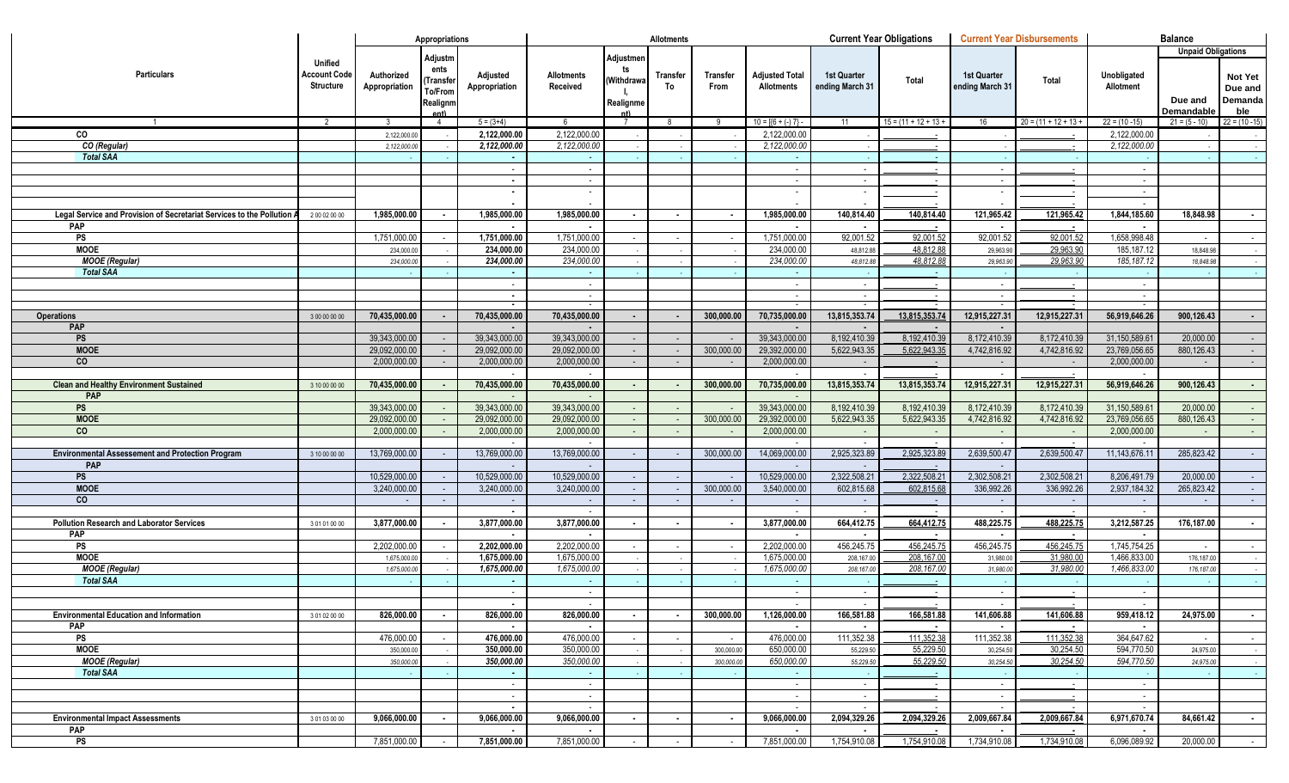|                                                                        |                                                    |                             | Appropriations                                     |                           |                                    |                                            | <b>Allotments</b>        |                  |                                              |                                | <b>Current Year Obligations</b> |                                | <b>Current Year Disbursements</b> |                              | <b>Balance</b>            |                                      |
|------------------------------------------------------------------------|----------------------------------------------------|-----------------------------|----------------------------------------------------|---------------------------|------------------------------------|--------------------------------------------|--------------------------|------------------|----------------------------------------------|--------------------------------|---------------------------------|--------------------------------|-----------------------------------|------------------------------|---------------------------|--------------------------------------|
|                                                                        |                                                    |                             |                                                    |                           |                                    |                                            |                          |                  |                                              |                                |                                 |                                |                                   |                              | <b>Unpaid Obligations</b> |                                      |
| <b>Particulars</b>                                                     | Unified<br><b>Account Code</b><br><b>Structure</b> | Authorized<br>Appropriation | Adjustm<br>ents<br>Transfeı<br>To/From<br>Realignm | Adjusted<br>Appropriation | <b>Allotments</b><br>Received      | Adjustmen<br>ts<br>(Withdrawa<br>Realignme | <b>Transfer</b><br>To    | Transfer<br>From | <b>Adjusted Total</b><br><b>Allotments</b>   | 1st Quarter<br>ending March 31 | Total                           | 1st Quarter<br>ending March 31 | Total                             | Unobligated<br>Allotment     | Due and                   | <b>Not Yet</b><br>Due and<br>Demanda |
|                                                                        |                                                    |                             | Ant)                                               |                           |                                    |                                            |                          |                  |                                              |                                |                                 |                                |                                   |                              | Demandable                | ble                                  |
| $\overline{1}$                                                         | $\overline{2}$                                     | 3                           | $\overline{4}$                                     | $5 = (3+4)$               | 6                                  | $\overline{7}$                             | 8                        | -9               | $10 = \left[\left\{6 + (-) 7\right\}\right]$ | 11                             | $15 = (11 + 12 + 13 +$          | 16                             | $20 = (11 + 12 + 13 +$            | $22 = (10 - 15)$             | $21 = (5 - 10)$           | $22 = (10 - 15)$                     |
| CO                                                                     |                                                    | 2,122,000.00                |                                                    | 2,122,000.00              | 2,122,000.00                       |                                            |                          |                  | 2,122,000.00                                 |                                |                                 |                                |                                   | 2,122,000.00                 |                           |                                      |
| CO (Regular)                                                           |                                                    | 2,122,000.0                 |                                                    | 2,122,000.00              | 2,122,000.00                       |                                            |                          |                  | 2,122,000.00                                 |                                |                                 |                                |                                   | 2,122,000.00                 |                           |                                      |
| <b>Total SAA</b>                                                       |                                                    |                             |                                                    |                           |                                    |                                            |                          |                  |                                              |                                |                                 |                                |                                   |                              |                           |                                      |
|                                                                        |                                                    |                             |                                                    |                           | $\sim$<br>$\sim$                   |                                            |                          |                  |                                              |                                |                                 | $\sim$<br>$\sim$               |                                   | $\sim$<br>$\sim$             |                           |                                      |
|                                                                        |                                                    |                             |                                                    |                           | $\sim$                             |                                            |                          |                  |                                              |                                |                                 |                                |                                   | $\sim$                       |                           |                                      |
|                                                                        |                                                    |                             |                                                    |                           |                                    |                                            |                          |                  |                                              |                                |                                 |                                |                                   | $\sim$                       |                           |                                      |
| Legal Service and Provision of Secretariat Services to the Pollution A | 200020000                                          | 1,985,000.00                | $\sim$                                             | 1,985,000.00              | 1,985,000.00                       | $\blacksquare$                             | $\sim$                   |                  | 1,985,000.00                                 | 140,814.40                     | 140,814.40                      | 121,965.42                     | 121,965.42                        | 1,844,185.60                 | 18,848.98                 | $\sim$                               |
| PAP                                                                    |                                                    |                             |                                                    |                           |                                    |                                            |                          |                  |                                              |                                |                                 |                                |                                   |                              |                           |                                      |
| <b>PS</b>                                                              |                                                    | 1,751,000.00                |                                                    | 1,751,000.00              | 1,751,000.00                       |                                            |                          |                  | 1,751,000.00                                 | 92,001.52                      | 92,001.52                       | 92,001.52                      | 92,001.52                         | 1,658,998.48                 |                           | $\sim$                               |
| <b>MOOE</b>                                                            |                                                    | 234,000.0                   |                                                    | 234,000.00                | 234,000.00                         |                                            |                          |                  | 234,000.00                                   | 48,812.88                      | 48,812.88                       | 29,963.90                      | 29,963.90                         | 185,187.12                   | 18,848.98                 |                                      |
| <b>MOOE</b> (Regular)                                                  |                                                    | 234,000.0                   |                                                    | 234,000.00                | 234,000.00                         |                                            |                          |                  | 234,000.00                                   | 48,812.8                       | 48.812.88                       | 29,963.90                      | 29.963.90                         | 185, 187. 12                 | 18,848.98                 |                                      |
| <b>Total SAA</b>                                                       |                                                    |                             |                                                    |                           |                                    |                                            |                          |                  |                                              |                                |                                 |                                |                                   |                              |                           |                                      |
|                                                                        |                                                    |                             |                                                    |                           | $\sim$                             |                                            |                          |                  |                                              |                                |                                 | $\sim$                         |                                   | $\sim$                       |                           |                                      |
|                                                                        |                                                    |                             |                                                    |                           | $\sim$<br>$\overline{\phantom{a}}$ |                                            |                          |                  |                                              |                                |                                 | $\sim$                         |                                   | $\sim$                       |                           |                                      |
| <b>Operations</b>                                                      | 3 00 00 00 00                                      | 70,435,000.00               |                                                    | 70,435,000.00             | 70,435,000.00                      |                                            |                          | 300,000.00       | 70,735,000.00                                | 13,815,353.74                  | 13,815,353.74                   | 12,915,227.31                  | 12,915,227.31                     | $\sim$<br>56,919,646.26      | 900,126.43                | $\sim$                               |
| <b>PAP</b>                                                             |                                                    |                             |                                                    |                           |                                    |                                            |                          |                  |                                              |                                |                                 |                                |                                   |                              |                           |                                      |
| <b>PS</b>                                                              |                                                    | 39,343,000.00               |                                                    | 39,343,000.00             | 39,343,000.00                      |                                            | $\sim$                   |                  | 39,343,000.00                                | 8,192,410.39                   | 8,192,410.39                    | 8,172,410.39                   | 8,172,410.39                      | 31,150,589.6                 | 20.000.00                 | $\sim$ $-$                           |
| <b>MOOE</b>                                                            |                                                    | 29,092,000.00               |                                                    | 29,092,000.00             | 29,092,000.00                      | $\sim$                                     | $\sim$                   | 300,000.00       | 29,392,000.00                                | 5,622,943.35                   | 5,622,943.35                    | 4,742,816.92                   | 4,742,816.92                      | 23,769,056.65                | 880,126.43                | $\sim 10$                            |
| <b>CO</b>                                                              |                                                    | 2,000,000.00                |                                                    | 2,000,000.00              | 2,000,000.00                       |                                            | $\sim$                   |                  | 2,000,000.00                                 |                                |                                 |                                | $\sim$                            | 2,000,000.00                 |                           | $\sim$                               |
|                                                                        |                                                    |                             |                                                    |                           |                                    |                                            |                          |                  |                                              |                                |                                 |                                |                                   |                              |                           |                                      |
| <b>Clean and Healthy Environment Sustained</b>                         | 3 10 00 00 00                                      | 70,435,000.00               |                                                    | 70,435,000.00             | 70,435,000.00                      |                                            |                          | 300,000.00       | 70,735,000.00                                | 13,815,353.74                  | 13,815,353.74                   | 12,915,227.31                  | 12,915,227.31                     | 56,919,646.26                | 900,126.43                | $\sim$                               |
| PAP                                                                    |                                                    |                             |                                                    |                           |                                    |                                            |                          |                  |                                              |                                |                                 |                                |                                   |                              |                           |                                      |
| <b>PS</b>                                                              |                                                    | 39,343,000.00               |                                                    | 39,343,000.00             | 39,343,000.00                      |                                            |                          |                  | 39,343,000.00                                | 8,192,410.39                   | 8,192,410.39                    | 8,172,410.39                   | 8,172,410.39                      | 31,150,589.6                 | 20,000.00                 | $\sim$                               |
| <b>MOOE</b>                                                            |                                                    | 29,092,000.00               |                                                    | 29,092,000.00             | 29,092,000.00                      | $\sim$                                     | $\sim$                   | 300,000.00       | 29,392,000.00                                | 5,622,943.35                   | 5,622,943.35                    | 4,742,816.92                   | 4,742,816.92                      | 23,769,056.65                | 880,126.43                | $\sim$ $-$                           |
| co                                                                     |                                                    | 2,000,000.00                |                                                    | 2,000,000.00              | 2,000,000.00                       |                                            | $\sim$                   |                  | 2,000,000.00                                 |                                |                                 |                                | $\sim$                            | 2,000,000.00                 |                           | $\sim$                               |
|                                                                        |                                                    |                             |                                                    |                           |                                    |                                            |                          |                  |                                              |                                |                                 |                                |                                   |                              |                           |                                      |
| <b>Environmental Assessement and Protection Program</b><br>PAP         | 3 10 00 00 00                                      | 13,769,000.00               |                                                    | 13,769,000.00             | 13,769,000.00                      |                                            |                          | 300,000.00       | 14,069,000.00                                | 2,925,323.89                   | 2,925,323.89                    | 2,639,500.47                   | 2,639,500.47                      | 11,143,676.1                 | 285,823.42                | $\sim$ $-$                           |
| <b>PS</b>                                                              |                                                    | 10,529,000.00               |                                                    | 10,529,000.00             | 10,529,000.00                      |                                            | $\sim$                   |                  | 10,529,000.00                                | 2,322,508.21                   | 2,322,508.21                    | 2,302,508.21                   | 2,302,508.21                      | 8,206,491.79                 | 20,000.00                 | $\sim$                               |
| <b>MOOE</b>                                                            |                                                    | 3,240,000.00                |                                                    | 3,240,000.00              | 3,240,000.00                       | $\sim$                                     | $\sim$                   | 300,000.00       | 3,540,000.00                                 | 602,815.68                     | 602,815.68                      | 336,992.26                     | 336,992.26                        | 2,937,184.32                 | 265,823.42                | $\sim 10$                            |
| <b>CO</b>                                                              |                                                    |                             |                                                    |                           | $\sim$                             |                                            | $\sim$                   |                  |                                              |                                |                                 |                                | $\sim$                            | $\sim$                       |                           | $\sim$                               |
|                                                                        |                                                    |                             |                                                    | $\blacksquare$            |                                    |                                            |                          |                  |                                              |                                |                                 |                                |                                   | $\sim$                       |                           |                                      |
| <b>Pollution Research and Laborator Services</b>                       | 301010000                                          | 3,877,000.00                |                                                    | 3,877,000.00              | 3,877,000.00                       |                                            | $\overline{\phantom{a}}$ |                  | 3,877,000.00                                 | 664,412.75                     | 664,412.75                      | 488,225.75                     | 488,225.75                        | 3,212,587.25                 | 176,187.00                | $\sim$                               |
| PAP                                                                    |                                                    |                             |                                                    |                           |                                    |                                            |                          |                  |                                              |                                |                                 |                                |                                   |                              |                           |                                      |
| PS                                                                     |                                                    | 2,202,000.00                |                                                    | 2,202,000.00              | 2,202,000.00                       |                                            |                          |                  | 2,202,000.00                                 | 456,245.75                     | 456,245.75                      | 456,245.75                     | 456,245.75                        | 1,745,754.25                 |                           | $\sim$                               |
| <b>MOOE</b>                                                            |                                                    | 1,675,000.00                |                                                    | 1,675,000.00              | 1,675,000.00                       |                                            |                          |                  | 1,675,000.00                                 | 208,167.00                     | 208,167.00                      | 31,980.00                      | 31,980.00                         | 1,466,833.00                 | 176,187.00                |                                      |
| <b>MOOE</b> (Regular)                                                  |                                                    | 1,675,000.00                |                                                    | 1,675,000.00              | 1,675,000.00                       |                                            |                          |                  | 1,675,000.00                                 | 208,167.00                     | 208,167.00                      | 31,980.00                      | 31,980.00                         | 1,466,833.00                 | 176, 187.00               |                                      |
| <b>Total SAA</b>                                                       |                                                    |                             |                                                    | $\sim$                    | $\sim$                             |                                            |                          |                  |                                              |                                |                                 |                                |                                   |                              |                           |                                      |
|                                                                        |                                                    |                             |                                                    | $\sim$                    | $\sim$                             |                                            |                          |                  |                                              |                                |                                 | $\sim$                         | $\sim$                            | $\sim$                       |                           |                                      |
|                                                                        |                                                    |                             |                                                    |                           | $\bullet$                          |                                            |                          |                  |                                              |                                |                                 |                                |                                   |                              |                           |                                      |
| <b>Environmental Education and Information</b>                         | 3 01 02 00 00                                      | 826,000.00                  | $\sim$                                             | 826,000.00                | 826,000.00                         |                                            | $\sim$                   | 300,000.00       | 1,126,000.00                                 | 166,581.88                     | 166,581.88                      | 141,606.88                     | 141,606.88                        | 959,418.12                   | 24,975.00                 |                                      |
| <b>PAP</b><br>PS                                                       |                                                    | 476,000.00                  |                                                    | $\sim$<br>476,000.00      | $\blacksquare$<br>476,000.00       |                                            |                          |                  | $\blacksquare$<br>476,000.00                 | 111,352.38                     | 111,352.38                      | $\blacksquare$<br>111,352.38   | $\sim$<br>111,352.38              | $\blacksquare$<br>364,647.62 |                           | $\sim$                               |
| <b>MOOE</b>                                                            |                                                    | 350,000.00                  |                                                    | 350,000.00                | 350,000.00                         |                                            |                          | 300,000.00       | 650,000.00                                   | 55,229.50                      | 55,229.50                       | 30,254.50                      | 30,254.50                         | 594,770.50                   | 24,975.00                 |                                      |
| <b>MOOE (Regular)</b>                                                  |                                                    | 350,000.00                  |                                                    | 350,000.00                | 350,000.00                         |                                            |                          | 300,000.00       | 650,000.00                                   | 55,229.50                      | 55,229.50                       | 30,254.50                      | 30,254.50                         | 594,770.50                   | 24,975.00                 |                                      |
| <b>Total SAA</b>                                                       |                                                    |                             |                                                    | $\sim$                    | $\sim$ $-$                         |                                            |                          |                  | $\sim$                                       |                                |                                 |                                |                                   |                              |                           |                                      |
|                                                                        |                                                    |                             |                                                    | $\sim$                    | $\sim$                             |                                            |                          |                  | $\sim$                                       | $\sim$                         |                                 | $\sim$                         | $\sim$                            | $\sim$                       |                           |                                      |
|                                                                        |                                                    |                             |                                                    | $\sim$                    | $\sim$                             |                                            |                          |                  | $\sim$                                       | $\sim$                         |                                 | $\sim$                         |                                   | $\sim$                       |                           |                                      |
|                                                                        |                                                    |                             |                                                    | $\blacksquare$            | $\sim$                             |                                            |                          |                  |                                              |                                |                                 |                                |                                   | $\sim$                       |                           |                                      |
| <b>Environmental Impact Assessments</b>                                | 3 01 03 00 00                                      | 9,066,000.00                | $\sim$                                             | 9,066,000.00              | 9,066,000.00                       | $\blacksquare$                             | $\sim$                   | $\sim$           | 9,066,000.00                                 | 2,094,329.26                   | 2,094,329.26                    | 2,009,667.84                   | 2,009,667.84                      | 6,971,670.74                 | 84,661.42                 | $\sim$                               |
| <b>PAP</b>                                                             |                                                    |                             |                                                    | $\sim$                    | $\blacksquare$                     |                                            |                          |                  | $\overline{\phantom{a}}$                     |                                |                                 |                                |                                   | $\blacksquare$               |                           |                                      |
| PS                                                                     |                                                    | 7,851,000.00                |                                                    | 7,851,000.00              | 7,851,000.00                       | $\sim$                                     | $\sim$                   | $\sim$           | 7,851,000.00                                 | 1,754,910.08                   | 1,754,910.08                    | 1,734,910.08                   | 1,734,910.08                      | 6,096,089.92                 | 20,000.00                 | $\sim$                               |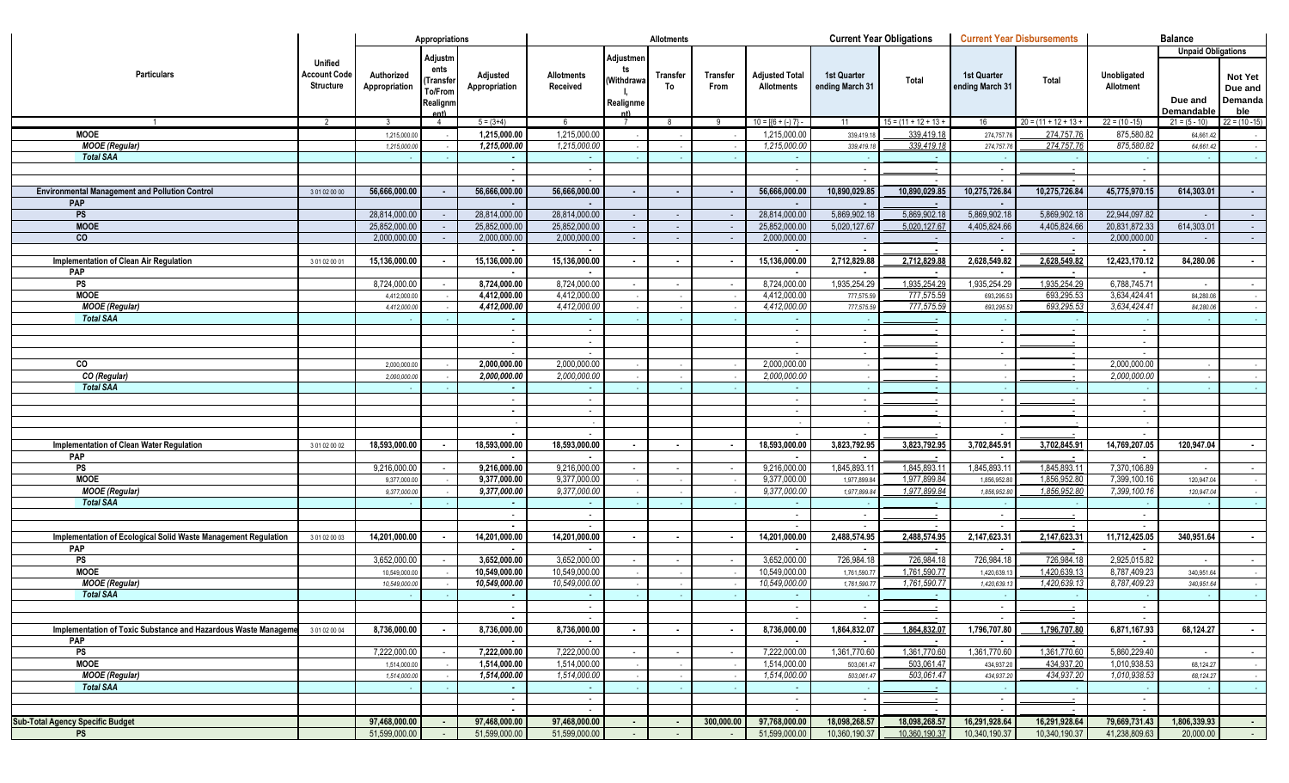|                                                                |                     |                | Appropriations   |                              |                              |                | <b>Allotments</b> |            |                                              |                 | <b>Current Year Obligations</b> |                 | <b>Current Year Disbursements</b> |                  | <b>Balance</b>            |                  |
|----------------------------------------------------------------|---------------------|----------------|------------------|------------------------------|------------------------------|----------------|-------------------|------------|----------------------------------------------|-----------------|---------------------------------|-----------------|-----------------------------------|------------------|---------------------------|------------------|
|                                                                |                     |                |                  |                              |                              |                |                   |            |                                              |                 |                                 |                 |                                   |                  | <b>Unpaid Obligations</b> |                  |
|                                                                | <b>Unified</b>      |                | Adjustm          |                              |                              | Adjustmen      |                   |            |                                              |                 |                                 |                 |                                   |                  |                           |                  |
| <b>Particulars</b>                                             | <b>Account Code</b> | Authorized     | ents             | Adjusted                     | Allotments                   | ts             | <b>Transfer</b>   | Transfer   | <b>Adjusted Total</b>                        | 1st Quarter     |                                 | 1st Quarter     |                                   | Unobligated      |                           | Not Yet          |
|                                                                | <b>Structure</b>    | Appropriation  | Transfer         | Appropriation                | Received                     | (Withdrawa     | To                | From       | <b>Allotments</b>                            | ending March 31 | Total                           | ending March 31 | Total                             | Allotment        |                           | Due and          |
|                                                                |                     |                | To/From          |                              |                              |                |                   |            |                                              |                 |                                 |                 |                                   |                  | Due and                   | Demanda          |
|                                                                |                     |                | Realignm<br>ent) |                              |                              | Realignme      |                   |            |                                              |                 |                                 |                 |                                   |                  | <b>Demandable</b>         | ble              |
| $\overline{1}$                                                 | $\overline{2}$      | $\overline{3}$ | $\overline{4}$   | $5 = (3+4)$                  | 6                            | $\overline{7}$ | 8                 | -9         | $10 = \left[\left\{6 + (-) 7\right\}\right]$ | 11              | $15 = (11 + 12 + 13 +$          | 16              | $20 = (11 + 12 + 13 +$            | $22 = (10 - 15)$ | $21 = (5 - 10)$           | $22 = (10 - 15)$ |
| <b>MOOE</b>                                                    |                     | 1,215,000.00   |                  | 1,215,000.00                 | 1,215,000.00                 |                |                   |            | 1,215,000.00                                 | 339,419.1       | 339,419.18                      | 274,757.76      | 274,757.76                        | 875,580.82       | 64,661.42                 |                  |
| <b>MOOE</b> (Regular)                                          |                     | 1,215,000.0    |                  | 1,215,000.00                 | 1,215,000.00                 |                |                   |            | 1,215,000.00                                 | 339,419.1       | 339,419.18                      | 274,757.76      | 274,757.76                        | 875,580.82       | 64,661.42                 |                  |
| <b>Total SAA</b>                                               |                     |                |                  |                              |                              |                |                   |            |                                              |                 |                                 |                 |                                   |                  |                           |                  |
|                                                                |                     |                |                  |                              | $\sim$                       |                |                   |            |                                              |                 |                                 | $\sim$          |                                   | $\sim$           |                           |                  |
|                                                                |                     |                |                  |                              |                              |                |                   |            |                                              |                 |                                 |                 |                                   |                  |                           |                  |
| <b>Environmental Management and Pollution Control</b>          | 3 01 02 00 00       | 56,666,000.00  |                  | 56,666,000.00                | 56,666,000.00                |                | $\blacksquare$    |            | 56,666,000.00                                | 10,890,029.85   | 10,890,029.85                   | 10,275,726.84   | 10,275,726.84                     | 45,775,970.15    | 614,303.01                | $\sim$           |
| PAP                                                            |                     |                |                  |                              |                              |                |                   |            |                                              |                 |                                 |                 |                                   |                  |                           |                  |
| PS                                                             |                     | 28,814,000.00  |                  | 28,814,000.00                | 28,814,000.00                |                |                   |            | 28,814,000.00                                | 5,869,902.18    | 5,869,902.18                    | 5,869,902.18    | 5,869,902.18                      | 22,944,097.82    |                           | $\sim$           |
| <b>MOOE</b>                                                    |                     | 25,852,000.00  |                  | 25,852,000.00                | 25,852,000.00                | $\sim$         | $\sim$            |            | 25,852,000.00                                | 5,020,127.67    | 5,020,127.67                    | 4,405,824.66    | 4,405,824.66                      | 20,831,872.33    | 614,303.01                | $\sim$           |
| $\overline{c}$                                                 |                     | 2,000,000.00   |                  | 2,000,000.00                 | 2,000,000.00                 |                | $\sim$            |            | 2,000,000.00                                 |                 |                                 |                 | $\sim$                            | 2,000,000.00     |                           | $\sim$           |
|                                                                |                     |                |                  |                              |                              |                |                   |            |                                              |                 |                                 |                 |                                   |                  |                           |                  |
| Implementation of Clean Air Regulation                         | 301020001           | 15,136,000.00  |                  | 15,136,000.00                | 15,136,000.00                |                |                   |            | 15,136,000.00                                | 2,712,829.88    | 2,712,829.88                    | 2,628,549.82    | 2,628,549.82                      | 12,423,170.12    | 84,280.06                 | $\bullet$        |
| PAP                                                            |                     |                |                  |                              |                              |                |                   |            |                                              |                 |                                 |                 |                                   |                  |                           |                  |
| $\overline{\mathsf{PS}}$                                       |                     | 8,724,000.0    |                  | 8,724,000.00                 | 8,724,000.00                 |                |                   |            | 8,724,000.00                                 | 1,935,254.29    | 1,935,254.29                    | 1,935,254.29    | 1,935,254.29                      | 6,788,745.7      |                           | $\sim$           |
| <b>MOOE</b>                                                    |                     | 4,412,000.0    |                  | 4,412,000.00                 | 4,412,000.00                 |                |                   |            | 4,412,000.00                                 | 777,575.5       | 777,575.59                      | 693,295.53      | 693,295.53                        | 3,634,424.41     | 84,280.06                 |                  |
| <b>MOOE</b> (Regular)                                          |                     | 4,412,000.0    |                  | 4,412,000.00                 | 4,412,000.00                 |                |                   |            | 4,412,000.00                                 | 777,575.5       | 777,575.59                      | 693,295.53      | 693,295.53                        | 3,634,424.41     | 84,280.06                 |                  |
| <b>Total SAA</b>                                               |                     |                |                  |                              |                              |                |                   |            |                                              |                 |                                 |                 |                                   |                  |                           |                  |
|                                                                |                     |                |                  |                              | $\sim$                       |                |                   |            |                                              |                 |                                 | $\sim$          |                                   | $\sim$           |                           |                  |
|                                                                |                     |                |                  |                              | $\sim$                       |                |                   |            |                                              |                 |                                 | $\sim$          |                                   | $\sim$           |                           |                  |
|                                                                |                     |                |                  |                              | $\sim$                       |                |                   |            |                                              |                 |                                 | $\sim$          |                                   | $\sim$           |                           |                  |
| CO                                                             |                     | 2,000,000.0    |                  | 2,000,000.00<br>2,000,000.00 | 2,000,000.00<br>2,000,000.00 |                |                   |            | 2,000,000.00                                 |                 |                                 |                 |                                   | 2,000,000.00     |                           |                  |
| CO (Regular)<br><b>Total SAA</b>                               |                     | 2,000,000.0    |                  |                              |                              |                |                   |            | 2,000,000.00                                 |                 |                                 |                 |                                   | 2,000,000.00     |                           |                  |
|                                                                |                     |                |                  |                              | $\sim$                       |                |                   |            |                                              |                 |                                 | $\sim$          |                                   | $\sim$           |                           |                  |
|                                                                |                     |                |                  |                              | $\sim$                       |                |                   |            |                                              |                 |                                 | $\sim$          |                                   | $\sim$           |                           |                  |
|                                                                |                     |                |                  |                              |                              |                |                   |            |                                              |                 |                                 |                 |                                   |                  |                           |                  |
|                                                                |                     |                |                  |                              |                              |                |                   |            |                                              |                 |                                 |                 |                                   | $\sim$           |                           |                  |
| Implementation of Clean Water Regulation                       | 3 01 02 00 02       | 18,593,000.00  |                  | 18,593,000.00                | 18,593,000.00                |                |                   |            | 18,593,000.00                                | 3,823,792.95    | 3,823,792.95                    | 3,702,845.91    | 3,702,845.91                      | 14,769,207.05    | 120,947.04                | $\bullet$        |
| PAP                                                            |                     |                |                  |                              |                              |                |                   |            |                                              |                 |                                 |                 |                                   |                  |                           |                  |
| $\overline{\mathsf{PS}}$                                       |                     | 9,216,000.00   |                  | 9,216,000.00                 | 9,216,000.00                 |                |                   |            | 9,216,000.0                                  | 1,845,893.11    | 1,845,893.11                    | 1,845,893.1     | 1,845,893.11                      | 7,370,106.89     |                           | $\sim$           |
| <b>MOOE</b>                                                    |                     | 9,377,000.0    |                  | 9,377,000.00                 | 9,377,000.00                 |                |                   |            | 9,377,000.00                                 | 1,977,899.8     | 1,977,899.84                    | 1,856,952.8     | 1,856,952.80                      | 7,399,100.16     | 120,947.04                |                  |
| <b>MOOE</b> (Regular)                                          |                     | 9,377,000.0    |                  | 9,377,000.00                 | 9,377,000.00                 |                |                   |            | 9,377,000.00                                 | 1,977,899.8     | 1,977,899.84                    | 1,856,952.8     | 1,856,952.80                      | 7,399,100.16     | 120,947.04                |                  |
| <b>Total SAA</b>                                               |                     |                |                  |                              |                              |                |                   |            |                                              |                 |                                 |                 |                                   |                  |                           |                  |
|                                                                |                     |                |                  |                              | $\sim$                       |                |                   |            |                                              |                 |                                 | $\sim$          |                                   | $\sim$           |                           |                  |
|                                                                |                     |                |                  |                              | $\sim$                       |                |                   |            |                                              |                 |                                 |                 |                                   | $\sim$           |                           |                  |
| Implementation of Ecological Solid Waste Management Regulation | 301020003           | 14,201,000.00  |                  | 14,201,000.00                | 14,201,000.00                |                |                   |            | 14,201,000.00                                | 2,488,574.95    | 2,488,574.95                    | 2,147,623.31    | 2,147,623.31                      | 11,712,425.05    | 340,951.64                | $\blacksquare$   |
| PAP                                                            |                     |                |                  |                              |                              |                |                   |            |                                              |                 |                                 |                 |                                   |                  |                           |                  |
| $\overline{\mathsf{PS}}$                                       |                     | 3,652,000.00   |                  | 3,652,000.00                 | 3,652,000.00                 |                |                   |            | 3,652,000.00                                 | 726,984.18      | 726,984.18                      | 726,984.18      | 726,984.18                        | 2,925,015.82     |                           | $\sim$           |
| <b>MOOE</b>                                                    |                     | 10,549,000.0   |                  | 10,549,000.00                | 10,549,000.00                |                |                   |            | 10,549,000.00                                | 1,761,590.7     | 1,761,590.77                    | 1,420,639.1     | 1,420,639.13                      | 8,787,409.23     | 340,951.64                |                  |
| <b>MOOE</b> (Regular)                                          |                     | 10,549,000.0   |                  | 10,549,000.00                | 10,549,000.00                |                |                   |            | 10,549,000.00                                | 1,761,590.7     | 1,761,590.77                    | 1,420,639.1     | 1,420,639.13                      | 8,787,409.2      | 340,951.64                |                  |
| <b>Total SAA</b>                                               |                     |                |                  |                              |                              |                |                   |            |                                              |                 |                                 |                 |                                   |                  |                           |                  |
|                                                                |                     |                |                  |                              | $\sim$                       |                |                   |            |                                              |                 |                                 |                 |                                   | $\sim$           |                           |                  |
| Implementation of Toxic Substance and Hazardous Waste Manageme | 301020004           | 8,736,000.00   |                  | 8,736,000.00                 | 8,736,000.00                 |                |                   |            | 8,736,000.00                                 | 1,864,832.07    | 1,864,832.07                    | 1,796,707.80    | 1,796,707.80                      | 6,871,167.93     | 68,124.27                 | $\blacksquare$   |
| PAP                                                            |                     |                |                  |                              |                              |                |                   |            |                                              |                 |                                 |                 |                                   |                  |                           |                  |
| PS                                                             |                     | 7,222,000.00   |                  | 7,222,000.00                 | 7,222,000.00                 |                |                   |            | 7,222,000.00                                 | 1,361,770.60    | 1,361,770.60                    | 1,361,770.60    | 1,361,770.60                      | 5,860,229.40     |                           | $\sim$           |
| <b>MOOE</b>                                                    |                     | 1,514,000.0    |                  | 1,514,000.00                 | 1,514,000.00                 |                |                   |            | 1,514,000.00                                 | 503,061.4       | 503,061.47                      | 434,937.20      | 434,937.20                        | 1,010,938.53     | 68,124.27                 |                  |
| <b>MOOE</b> (Regular)                                          |                     | 1,514,000.0    |                  | 1,514,000.00                 | 1,514,000.00                 |                |                   |            | 1,514,000.00                                 | 503,061.47      | 503,061.47                      | 434,937.20      | 434,937.20                        | 1,010,938.53     | 68,124.27                 |                  |
| <b>Total SAA</b>                                               |                     |                |                  |                              |                              |                |                   |            |                                              |                 |                                 |                 |                                   |                  |                           |                  |
|                                                                |                     |                |                  |                              | $\sim$                       |                |                   |            | $\sim$                                       |                 |                                 | $\sim$          | $\sim$                            | $\sim$           |                           |                  |
|                                                                |                     |                |                  |                              | $\sim$                       |                |                   |            |                                              |                 |                                 |                 |                                   | $\sim$           |                           |                  |
| <b>Sub-Total Agency Specific Budget</b>                        |                     | 97,468,000.00  | $\sim$           | 97,468,000.00                | 97,468,000.00                | $\sim$         | ۰.                | 300,000.00 | 97,768,000.00                                | 18,098,268.57   | 18,098,268.57                   | 16,291,928.64   | 16.291.928.64                     | 79,669,731.43    | 1,806,339.93              | $\sim$           |
| <b>PS</b>                                                      |                     | 51,599,000.00  | $\sim 100$       | 51,599,000.00                | 51,599,000.00                | $\sim$         | $\sim$            | $\sim$     | 51,599,000.00                                | 10,360,190.37   | 10,360,190.37                   | 10,340,190.37   | 10,340,190.37                     | 41,238,809.63    | 20,000.00                 | $\sim 100$       |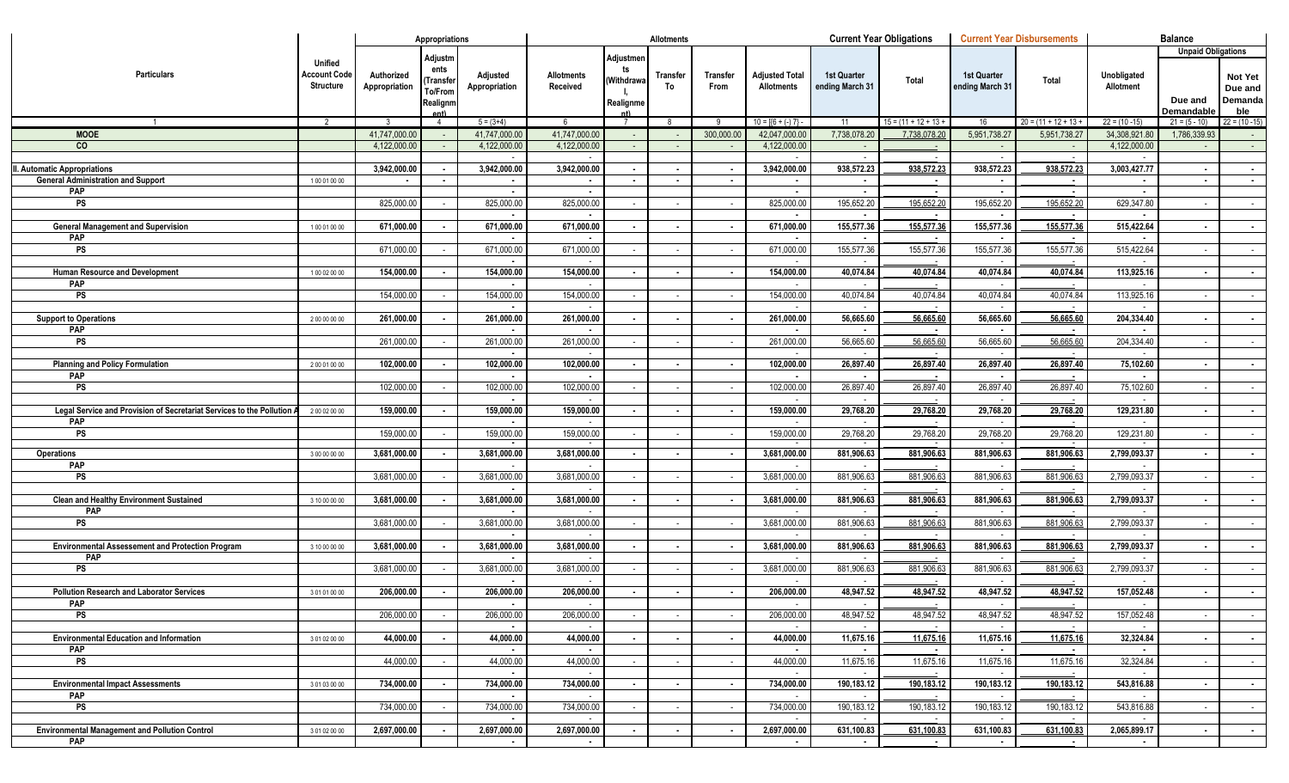|                                                                        |                                             |                             | Appropriations                                            |                           |                        |                                           | <b>Allotments</b> |                  |                                              |                                       | <b>Current Year Obligations</b> |                                | <b>Current Year Disbursements</b> |                          | <b>Balance</b>                                     |                                             |
|------------------------------------------------------------------------|---------------------------------------------|-----------------------------|-----------------------------------------------------------|---------------------------|------------------------|-------------------------------------------|-------------------|------------------|----------------------------------------------|---------------------------------------|---------------------------------|--------------------------------|-----------------------------------|--------------------------|----------------------------------------------------|---------------------------------------------|
| <b>Particulars</b>                                                     | Unified<br><b>Account Code</b><br>Structure | Authorized<br>Appropriation | Adjustm<br>ents<br>Transfe<br>To/From<br>Realignm<br>ent) | Adjusted<br>Appropriation | Allotments<br>Received | Adjustmen<br>ts<br>Withdrawa<br>Realignme | Transfer<br>To    | Transfer<br>From | <b>Adjusted Total</b><br><b>Allotments</b>   | <b>1st Quarter</b><br>ending March 31 | Total                           | 1st Quarter<br>ending March 31 | Total                             | Unobligated<br>Allotment | <b>Unpaid Obligations</b><br>Due and<br>Demandable | <b>Not Yet</b><br>Due and<br>Demanda<br>ble |
| $\overline{1}$                                                         | $\overline{2}$                              | 3                           | $\overline{4}$                                            | $5 = (3+4)$               | 6                      |                                           | -8                | - 9              | $10 = \left[\left\{6 + (-) 7\right\}\right]$ | 11                                    | $15 = (11 + 12 + 13 +$          | 16                             | $20 = (11 + 12 + 13 +$            | $22 = (10 - 15)$         | $21 = (5 - 10)$                                    | $22 = (10 - 15)$                            |
| <b>MOOE</b>                                                            |                                             | 41,747,000.00               |                                                           | 41,747,000.00             | 41,747,000.00          |                                           |                   | 300,000.00       | 42,047,000.00                                | 7,738,078.20                          | 7.738.078.20                    | 5,951,738.27                   | 5,951,738.27                      | 34,308,921.80            | 1,786,339.93                                       |                                             |
| co                                                                     |                                             | 4,122,000.00                |                                                           | 4,122,000.00              | 4,122,000.00           |                                           |                   |                  | 4,122,000.00                                 |                                       |                                 |                                | $\sim$                            | 4,122,000.00             |                                                    | $\sim$ $-$                                  |
|                                                                        |                                             |                             |                                                           |                           |                        |                                           |                   |                  |                                              |                                       |                                 |                                |                                   |                          |                                                    |                                             |
| II. Automatic Appropriations                                           |                                             | 3,942,000.00                |                                                           | 3,942,000.00              | 3,942,000.00           |                                           |                   |                  | 3,942,000.00                                 | 938,572.23                            | 938,572.23                      | 938,572.23                     | 938,572.23                        | 3,003,427.77             | $\sim$                                             | $\sim$                                      |
| <b>General Administration and Support</b>                              | 100010000                                   |                             |                                                           |                           |                        | $\sim$                                    |                   |                  |                                              |                                       |                                 |                                |                                   |                          |                                                    | $\sim$                                      |
| <b>PAP</b>                                                             |                                             |                             |                                                           |                           | $\blacksquare$         |                                           |                   |                  |                                              |                                       |                                 |                                |                                   | $\blacksquare$           |                                                    |                                             |
| <b>PS</b>                                                              |                                             | 825,000.00                  |                                                           | 825,000.00                | 825,000.00             |                                           |                   |                  | 825,000.00                                   | 195,652.20                            | 195,652.20                      | 195,652.20                     | 195,652.20                        | 629,347.80               |                                                    | $\sim$                                      |
|                                                                        |                                             |                             |                                                           |                           |                        |                                           |                   |                  |                                              |                                       |                                 |                                |                                   |                          |                                                    |                                             |
| <b>General Management and Supervision</b>                              | 100010000                                   | 671,000.00                  |                                                           | 671,000.00                | 671,000.00             |                                           |                   |                  | 671,000.00                                   | 155,577.36                            | 155,577.36                      | 155,577.36                     | 155,577.36                        | 515,422.64               |                                                    | $\sim$                                      |
| <b>PAP</b>                                                             |                                             |                             |                                                           |                           |                        |                                           |                   |                  |                                              |                                       |                                 |                                |                                   |                          |                                                    |                                             |
| <b>PS</b>                                                              |                                             | 671,000.00                  |                                                           | 671,000.00                | 671,000.00             |                                           |                   |                  | 671,000.00                                   | 155,577.36                            | 155,577.36                      | 155,577.36                     | 155,577.36                        | 515,422.64               |                                                    | $\sim$                                      |
|                                                                        |                                             |                             |                                                           |                           |                        |                                           |                   |                  |                                              |                                       |                                 |                                |                                   |                          |                                                    |                                             |
| Human Resource and Development                                         | 100020000                                   | 154,000.00                  |                                                           | 154,000.00                | 154,000.00             |                                           |                   |                  | 154,000.00                                   | 40,074.84                             | 40,074.84                       | 40,074.84                      | 40,074.84                         | 113,925.16               |                                                    | $\sim$                                      |
| <b>PAP</b><br><b>PS</b>                                                |                                             | 154,000.00                  |                                                           | 154,000.00                | 154,000.00             |                                           |                   |                  | 154,000.00                                   | 40,074.84                             | 40,074.84                       | 40,074.84                      | 40,074.84                         | 113,925.16               |                                                    |                                             |
|                                                                        |                                             |                             |                                                           |                           |                        |                                           |                   |                  |                                              |                                       |                                 |                                |                                   |                          |                                                    | $\sim$                                      |
| <b>Support to Operations</b>                                           | 200000000                                   | 261,000.00                  |                                                           | 261,000.00                | 261,000.00             | $\sim$                                    |                   |                  | 261,000.00                                   | 56,665.60                             | 56,665.60                       | 56,665.60                      | 56,665.60                         | 204,334.40               |                                                    | $\sim$                                      |
| <b>PAP</b>                                                             |                                             |                             |                                                           |                           |                        |                                           |                   |                  |                                              |                                       |                                 |                                |                                   |                          |                                                    |                                             |
| <b>PS</b>                                                              |                                             | 261,000.00                  |                                                           | 261,000.00                | 261,000.00             |                                           |                   |                  | 261,000.00                                   | 56,665.60                             | 56,665.60                       | 56,665.60                      | 56,665.60                         | 204,334.40               |                                                    | $\sim$                                      |
|                                                                        |                                             |                             |                                                           |                           |                        |                                           |                   |                  |                                              |                                       |                                 |                                |                                   |                          |                                                    |                                             |
| <b>Planning and Policy Formulation</b>                                 | 200010000                                   | 102,000.00                  |                                                           | 102,000.00                | 102,000.00             | $\overline{\phantom{a}}$                  |                   |                  | 102,000.00                                   | 26,897.40                             | 26,897.40                       | 26,897.40                      | 26,897.40                         | 75,102.60                |                                                    | $\sim$                                      |
| PAP                                                                    |                                             |                             |                                                           |                           |                        |                                           |                   |                  |                                              |                                       |                                 |                                |                                   |                          |                                                    |                                             |
| <b>PS</b>                                                              |                                             | 102,000.00                  |                                                           | 102,000.00                | 102,000.00             |                                           |                   |                  | 102,000.00                                   | 26,897.40                             | 26,897.40                       | 26,897.40                      | 26,897.40                         | 75,102.60                |                                                    | $\sim$                                      |
|                                                                        |                                             |                             |                                                           |                           |                        |                                           |                   |                  |                                              |                                       |                                 |                                |                                   |                          |                                                    |                                             |
| Legal Service and Provision of Secretariat Services to the Pollution A | 200020000                                   | 159,000.00                  |                                                           | 159,000.00                | 159,000.00             |                                           |                   |                  | 159,000.00                                   | 29,768.20                             | 29,768.20                       | 29,768.20                      | 29,768.20                         | 129,231.80               |                                                    | $\sim$                                      |
| <b>PAP</b>                                                             |                                             |                             |                                                           |                           |                        |                                           |                   |                  |                                              |                                       |                                 |                                |                                   |                          |                                                    |                                             |
| <b>PS</b>                                                              |                                             | 159,000.00                  |                                                           | 159,000.00                | 159,000.00             |                                           |                   |                  | 159,000.00                                   | 29,768.20                             | 29,768.20                       | 29,768.20                      | 29,768.20                         | 129,231.80               |                                                    | $\sim 100$                                  |
| <b>Operations</b>                                                      | 300000000                                   | 3,681,000.00                |                                                           | 3,681,000.00              | 3,681,000.00           |                                           |                   |                  | 3,681,000.00                                 | 881,906.63                            | 881,906.63                      | 881,906.63                     | 881,906.63                        | 2,799,093.37             |                                                    |                                             |
| <b>PAP</b>                                                             |                                             |                             |                                                           |                           |                        |                                           |                   |                  |                                              |                                       |                                 |                                |                                   |                          |                                                    |                                             |
| <b>PS</b>                                                              |                                             | 3,681,000.00                |                                                           | 3,681,000.00              | 3,681,000.00           |                                           |                   |                  | 3,681,000.00                                 | 881,906.63                            | 881,906.63                      | 881,906.63                     | 881,906.63                        | 2,799,093.37             |                                                    |                                             |
|                                                                        |                                             |                             |                                                           |                           |                        |                                           |                   |                  |                                              |                                       |                                 |                                |                                   |                          |                                                    |                                             |
| <b>Clean and Healthy Environment Sustained</b>                         | 3 10 00 00 00                               | 3,681,000.00                |                                                           | 3,681,000.00              | 3,681,000.00           |                                           |                   |                  | 3,681,000.00                                 | 881,906.63                            | 881,906.63                      | 881,906.63                     | 881,906.63                        | 2,799,093.37             |                                                    |                                             |
| PAP                                                                    |                                             |                             |                                                           |                           |                        |                                           |                   |                  |                                              |                                       |                                 |                                |                                   |                          |                                                    |                                             |
| <b>PS</b>                                                              |                                             | 3,681,000.00                |                                                           | 3,681,000.00              | 3,681,000.00           |                                           |                   |                  | 3,681,000.00                                 | 881,906.63                            | 881,906.63                      | 881,906.63                     | 881,906.63                        | 2,799,093.37             |                                                    |                                             |
|                                                                        |                                             |                             |                                                           |                           |                        |                                           |                   |                  |                                              |                                       |                                 |                                |                                   |                          |                                                    |                                             |
| <b>Environmental Assessement and Protection Program</b>                | 3 10 00 00 00                               | 3,681,000.00                |                                                           | 3,681,000.00              | 3,681,000.00           |                                           |                   |                  | 3,681,000.00                                 | 881,906.63                            | 881,906.63                      | 881,906.63                     | 881,906.63                        | 2,799,093.37             |                                                    |                                             |
| PAP                                                                    |                                             |                             |                                                           |                           |                        |                                           |                   |                  |                                              |                                       |                                 |                                |                                   |                          |                                                    |                                             |
| PS                                                                     |                                             | 3,681,000.00                |                                                           | 3,681,000.00              | 3,681,000.00           |                                           |                   |                  | 3,681,000.00                                 | 881,906.63                            | 881,906.63                      | 881,906.63                     | 881,906.63                        | 2,799,093.37             |                                                    |                                             |
|                                                                        |                                             |                             |                                                           |                           |                        |                                           |                   |                  |                                              |                                       |                                 |                                |                                   |                          |                                                    |                                             |
| <b>Pollution Research and Laborator Services</b>                       | 301010000                                   | 206,000.00                  |                                                           | 206,000.00                | 206,000.00             |                                           |                   |                  | 206,000.00                                   | 48,947.52                             | 48,947.52                       | 48,947.52                      | 48,947.52                         | 157,052.48               |                                                    | $\sim$                                      |
| <b>PAP</b><br>PS                                                       |                                             | 206,000.00                  |                                                           | 206,000.00                | 206,000.00             |                                           |                   |                  | 206,000.00                                   | 48,947.52                             | 48,947.52                       | 48,947.52                      | 48,947.52                         | 157,052.48               |                                                    |                                             |
|                                                                        |                                             |                             |                                                           | $\sim$                    |                        |                                           |                   |                  |                                              |                                       |                                 |                                |                                   |                          | $\sim$                                             | <b>Contract</b>                             |
| <b>Environmental Education and Information</b>                         | 301020000                                   | 44,000.00                   |                                                           | 44,000.00                 | 44,000.00              |                                           |                   |                  | 44,000.00                                    | 11,675.16                             | 11,675.16                       | 11,675.16                      | 11,675.16                         | 32,324.84                | $\sim$                                             | $\sim$ 100 $\mu$                            |
| PAP                                                                    |                                             |                             |                                                           |                           |                        |                                           |                   |                  |                                              |                                       |                                 | $\blacksquare$                 | $\sim$                            |                          |                                                    |                                             |
| PS                                                                     |                                             | 44,000.00                   |                                                           | 44,000.00                 | 44,000.00              |                                           |                   |                  | 44,000.00                                    | 11,675.16                             | 11,675.16                       | 11,675.16                      | 11,675.16                         | 32,324.84                | $\sim$                                             | $\sim$                                      |
|                                                                        |                                             |                             |                                                           |                           |                        |                                           |                   |                  |                                              |                                       |                                 |                                |                                   |                          |                                                    |                                             |
| <b>Environmental Impact Assessments</b>                                | 301030000                                   | 734,000.00                  |                                                           | 734,000.00                | 734,000.00             |                                           |                   |                  | 734,000.00                                   | 190,183.12                            | 190,183.12                      | 190,183.12                     | 190,183.12                        | 543,816.88               | $\sim$                                             | $\sim$                                      |
| PAP                                                                    |                                             |                             |                                                           |                           |                        |                                           |                   |                  |                                              |                                       |                                 |                                |                                   |                          |                                                    |                                             |
| PS                                                                     |                                             | 734,000.00                  |                                                           | 734,000.00                | 734,000.00             |                                           |                   |                  | 734,000.00                                   | 190,183.12                            | 190,183.12                      | 190,183.12                     | 190,183.12                        | 543,816.88               | $\sim$                                             | $\sim 100$                                  |
|                                                                        |                                             |                             |                                                           |                           |                        |                                           |                   |                  |                                              |                                       |                                 |                                |                                   |                          |                                                    |                                             |
| <b>Environmental Management and Pollution Control</b>                  | 3 01 02 00 00                               | 2,697,000.00                |                                                           | 2,697,000.00              | 2,697,000.00           |                                           | $\sim$            |                  | 2,697,000.00                                 | 631,100.83                            | 631,100.83                      | 631,100.83                     | 631,100.83                        | 2,065,899.17             | $\sim$                                             | $\sim$                                      |
| <b>PAP</b>                                                             |                                             |                             |                                                           | $\sim$                    | $\sim$                 |                                           |                   |                  | $\sim$                                       | $\sim$                                |                                 |                                |                                   | $\blacksquare$           |                                                    |                                             |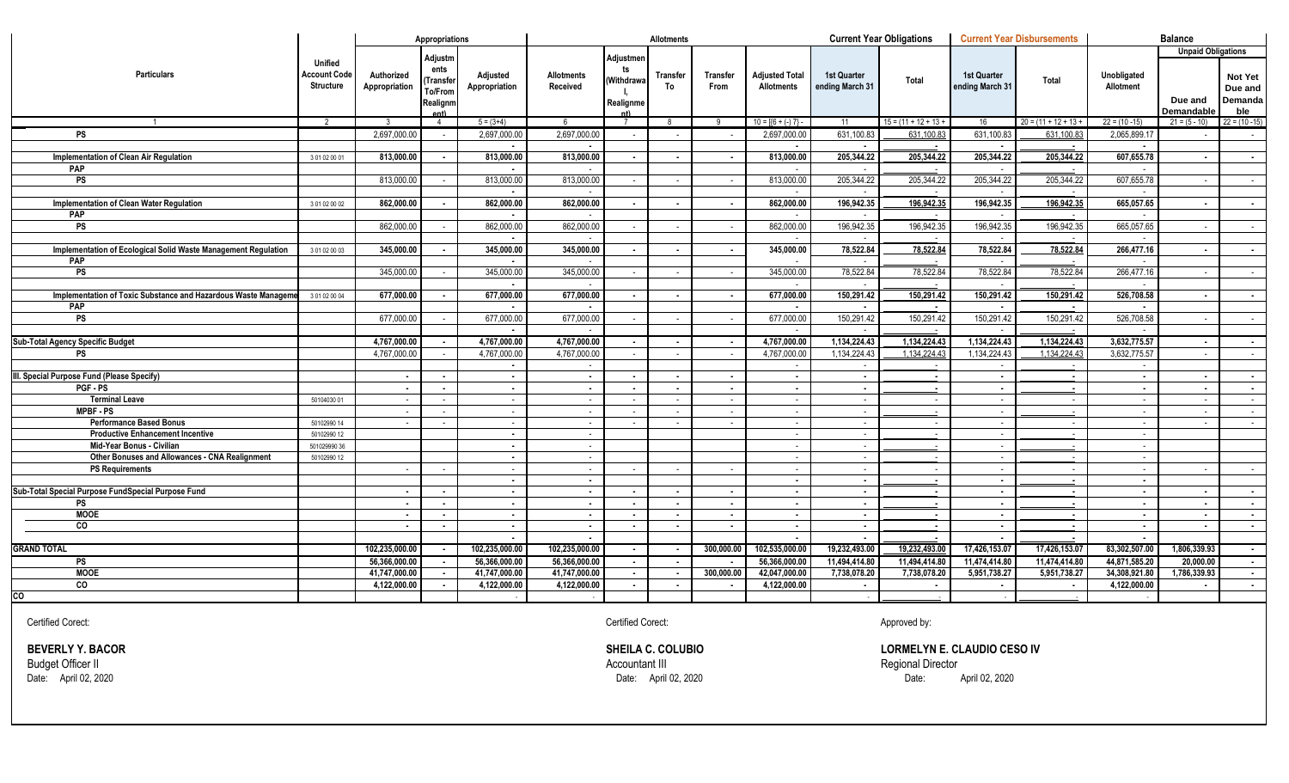|                                                                |                                                    |                             | Appropriations                                  |                           |                               |                               | <b>Allotments</b>        |                                |                                            |                                       | <b>Current Year Obligations</b> | <b>Current Year Disbursements</b>     |                                  |                          | <b>Balance</b>            |                                      |
|----------------------------------------------------------------|----------------------------------------------------|-----------------------------|-------------------------------------------------|---------------------------|-------------------------------|-------------------------------|--------------------------|--------------------------------|--------------------------------------------|---------------------------------------|---------------------------------|---------------------------------------|----------------------------------|--------------------------|---------------------------|--------------------------------------|
|                                                                |                                                    |                             | Adjustm                                         |                           |                               | Adjustmen                     |                          |                                |                                            |                                       |                                 |                                       |                                  |                          | <b>Unpaid Obligations</b> |                                      |
| <b>Particulars</b>                                             | <b>Unified</b><br>Account Code<br><b>Structure</b> | Authorized<br>Appropriation | ents<br>Transfer<br>To/From<br>Realignm<br>Ant) | Adjusted<br>Appropriation | <b>Allotments</b><br>Received | ts<br>(Withdrawa<br>Realignme | Transfer<br>To           | <b>Transfer</b><br><b>From</b> | <b>Adjusted Total</b><br><b>Allotments</b> | <b>1st Quarter</b><br>ending March 31 | Total                           | <b>1st Quarter</b><br>ending March 31 | Total                            | Unobligated<br>Allotment | Due and<br>Demandable     | Not Yet<br>Due and<br>Demanda<br>ble |
| $\overline{1}$                                                 | 2                                                  | $\mathbf{3}$                | $\overline{4}$                                  | $5 = (3+4)$               | 6                             |                               | -8                       | -9                             | $10 = \{6 + (-) 7\}$                       | 11                                    | $15 = (11 + 12 + 13 +$          | 16                                    | $20 = (11 + 12 + 13 +$           | $22 = (10 - 15)$         | $21 = (5 - 10)$           | $22 = (10 - 15)$                     |
| <b>PS</b>                                                      |                                                    | 2.697.000.0                 |                                                 | 2,697,000.00              | 2,697,000.00                  | $\sim$                        |                          |                                | 2,697,000.00                               | 631.100.83                            | 631.100.83                      | 631,100.83                            | 631.100.83                       | 2,065,899.17             |                           | $\sim$ 100 $\mu$                     |
|                                                                |                                                    |                             |                                                 |                           |                               |                               |                          |                                |                                            |                                       |                                 |                                       |                                  |                          |                           |                                      |
| Implementation of Clean Air Regulation                         | 3 01 02 00 01                                      | 813,000.00                  | $\sim$                                          | 813,000.00                | 813,000.00                    | $\sim$                        | $\sim$                   | $\blacksquare$                 | 813,000.00                                 | 205,344.22                            | 205,344.22                      | 205,344.22                            | 205,344.22                       | 607,655.78               | $\sim$                    | $\sim$                               |
| PAP                                                            |                                                    |                             |                                                 |                           | $\sim$                        |                               |                          |                                |                                            |                                       |                                 |                                       |                                  |                          |                           |                                      |
| $\overline{\mathsf{PS}}$                                       |                                                    | 813,000.00                  | $\sim$                                          | 813.000.00                | 813,000.00                    | $\sim$                        | $\sim$                   | $\sim$                         | 813,000.00                                 | 205,344.22                            | 205,344.22                      | 205,344.22                            | 205,344.22                       | 607,655.78               | $\sim$                    | $\sim$ 100 $\mu$                     |
|                                                                |                                                    |                             |                                                 |                           | $\sim$                        |                               |                          |                                | 862,000.00                                 |                                       | 196,942.35                      | $\sim$                                | 196,942.35                       |                          |                           |                                      |
| Implementation of Clean Water Regulation<br>PAP                | 3 01 02 00 02                                      | 862,000.00                  | $\blacksquare$                                  | 862,000.00                | 862,000.00<br>$\sim$          | $\sim$                        | $\blacksquare$           | $\blacksquare$                 |                                            | 196,942.35                            |                                 | 196,942.35                            |                                  | 665,057.65               | $\sim$                    | $\sim$                               |
| <b>PS</b>                                                      |                                                    | 862.000.00                  |                                                 | 862.000.00                | 862.000.00                    | $\sim$                        | $\sim$                   | $\sim$                         | 862,000.00                                 | 196,942.35                            | 196,942.35                      | 196,942.35                            | 196,942.35                       | 665.057.65               | $\sim$                    | $\sim 100$                           |
|                                                                |                                                    |                             |                                                 |                           |                               |                               |                          |                                |                                            |                                       |                                 |                                       |                                  |                          |                           |                                      |
| Implementation of Ecological Solid Waste Management Regulation | 301020003                                          | 345,000.00                  | $\overline{\phantom{a}}$                        | 345,000.00                | 345,000.00                    | $\sim$                        | $\overline{\phantom{a}}$ | $\blacksquare$                 | 345,000.00                                 | 78,522.84                             | 78,522.84                       | 78,522.84                             | 78,522.84                        | 266,477.16               | $\sim$                    | $\sim$                               |
| <b>PAP</b>                                                     |                                                    |                             |                                                 |                           |                               |                               |                          |                                |                                            |                                       |                                 |                                       |                                  |                          |                           |                                      |
| <b>PS</b>                                                      |                                                    | 345,000.00                  |                                                 | 345,000.00                | 345,000.00                    | $\sim$                        |                          |                                | 345,000.00                                 | 78,522.84                             | 78,522.84                       | 78,522.84                             | 78,522.84                        | 266,477.16               | $\sim$                    | $\sim 100$                           |
|                                                                |                                                    |                             |                                                 |                           |                               |                               |                          |                                |                                            |                                       |                                 |                                       |                                  |                          |                           |                                      |
| Implementation of Toxic Substance and Hazardous Waste Manageme | 301020004                                          | 677,000.00                  |                                                 | 677,000.00                | 677,000.00                    | $\sim$                        |                          |                                | 677,000.00                                 | 150,291.42                            | 150,291.42                      | 150,291.42                            | 150,291.42                       | 526,708.58               | $\sim$                    | $\sim$                               |
| PAP                                                            |                                                    |                             |                                                 |                           |                               |                               |                          |                                |                                            |                                       |                                 |                                       |                                  |                          |                           |                                      |
| <b>PS</b>                                                      |                                                    | 677,000.00                  |                                                 | 677,000.00                | 677,000.00                    | $\sim$                        |                          |                                | 677,000.00                                 | 150,291.42                            | 150,291.42                      | 150,291.42                            | 150,291.42                       | 526,708.58               | $\sim$                    | $\sim 100$                           |
|                                                                |                                                    |                             |                                                 |                           |                               |                               |                          |                                |                                            |                                       |                                 |                                       |                                  |                          |                           |                                      |
| Sub-Total Agency Specific Budget                               |                                                    | 4,767,000.00                |                                                 | 4,767,000.00              | 4,767,000.00                  | $\sim$                        |                          |                                | 4,767,000.00                               | 1,134,224.43                          | 1,134,224.43                    | 1,134,224.43                          | 1,134,224.43                     | 3,632,775.57             | $\sim$                    | $\sim$                               |
| PS                                                             |                                                    | 4,767,000.00                |                                                 | 4,767,000.00              | 4,767,000.00                  | $\sim$                        |                          |                                | 4,767,000.00                               | 1,134,224.43                          | 1,134,224.43                    | 1,134,224.43                          | 1,134,224.43                     | 3,632,775.57             | $\sim$                    | $\sim$                               |
|                                                                |                                                    |                             |                                                 | $\blacksquare$            | $\sim$                        |                               |                          |                                |                                            |                                       |                                 |                                       |                                  |                          |                           |                                      |
| III. Special Purpose Fund (Please Specify)                     |                                                    | $\blacksquare$              | $\overline{\phantom{a}}$                        | $\blacksquare$            | $\blacksquare$                | $\overline{\phantom{a}}$      |                          |                                | $\sim$                                     | $\blacksquare$                        |                                 | $\sim$                                | $\blacksquare$                   | $\overline{\phantom{a}}$ | $\overline{\phantom{a}}$  | $\sim$                               |
| PGF-PS                                                         |                                                    | $\blacksquare$              | $\overline{\phantom{a}}$                        | $\overline{\phantom{a}}$  | $\blacksquare$                | $\overline{\phantom{a}}$      |                          |                                | $\overline{\phantom{a}}$                   | $\blacksquare$                        |                                 | $\overline{\phantom{a}}$              | $\overline{\phantom{a}}$         |                          | $\overline{\phantom{a}}$  | $\sim$                               |
| <b>Terminal Leave</b>                                          | 50104030 01                                        | $\sim$                      |                                                 | $\sim$                    | $\sim$                        | $\sim$                        |                          |                                | $\sim$                                     | $\sim$                                | $\sim$                          | $\sim$                                | $\sim$                           | $\sim$                   | $\sim$                    | $\sim$                               |
| <b>MPBF-PS</b>                                                 |                                                    | . .                         |                                                 | $\sim$                    | $\sim$                        | $\sim$                        |                          |                                | $\sim$                                     | $\sim$                                |                                 | $\sim$                                |                                  | $\sim$                   | $\sim$                    | <b>Contract</b>                      |
| <b>Performance Based Bonus</b>                                 | 50102990 14                                        | $\sim$                      | $\sim$                                          | $\sim$                    | $\sim$                        | $\sim$                        | $\sim$                   | $\sim$                         | $\sim$                                     | $\sim$                                | $\sim$                          | $\sim$                                | $\sim$                           | $\sim$                   | $\sim$                    | $\sim$                               |
| <b>Productive Enhancement Incentive</b>                        | 50102990 12                                        |                             |                                                 | $\blacksquare$            | $\sim$                        |                               |                          |                                |                                            | $\sim$                                |                                 | $\sim$                                |                                  | $\sim$                   |                           |                                      |
| Mid-Year Bonus - Civilian                                      | 50102999036                                        |                             |                                                 | $\sim$                    | $\sim$                        |                               |                          |                                | $\sim$                                     | $\sim$                                |                                 | $\sim$                                | $\sim$                           | $\sim$                   |                           |                                      |
| Other Bonuses and Allowances - CNA Realignment                 | 50102990 12                                        |                             |                                                 | $\sim$                    | $\sim$                        |                               |                          |                                |                                            | $\sim$                                |                                 | <b>CONTRACTOR</b>                     |                                  | $\sim$                   |                           |                                      |
| <b>PS Requirements</b>                                         |                                                    | $\sim$                      | $\sim$                                          | $\sim$                    | $\sim$                        | $\sim$                        |                          | $\sim$                         | $\sim$                                     | $\sim$                                | $\sim$                          | $\sim$                                | $\sim$                           | $\sim$                   | $\sim$                    | $\sim 100$                           |
|                                                                |                                                    |                             |                                                 | $\blacksquare$            | $\sim$                        |                               |                          |                                | $\overline{\phantom{a}}$                   | $\sim$                                |                                 | $\sim$                                | $\blacksquare$                   | $\sim$                   |                           |                                      |
| Sub-Total Special Purpose FundSpecial Purpose Fund             |                                                    | $\blacksquare$              | $\blacksquare$                                  | $\sim$                    | $\sim$                        | $\sim$                        |                          | $\blacksquare$                 | $\sim$                                     | $\sim$                                | $\sim$                          | $\sim$                                | $\blacksquare$                   | $\sim$                   | $\sim$                    | $\sim$                               |
| <b>PS</b><br><b>MOOE</b>                                       |                                                    |                             | $\blacksquare$                                  | $\sim$                    | $\sim$                        | $\sim$                        |                          |                                | $\blacksquare$                             | $\sim$                                |                                 | $\blacksquare$                        | $\blacksquare$                   | $\blacksquare$           | $\blacksquare$            | $\sim$                               |
| CO                                                             |                                                    | $\blacksquare$              | $\blacksquare$                                  | $\sim$                    | $\sim$<br>$\blacksquare$      | $\sim$                        | $\sim$                   | $\sim$<br>$\blacksquare$       | $\sim$<br>$\sim$                           | $\sim$                                |                                 | $\sim$                                | $\blacksquare$                   | $\sim$                   | $\sim$                    | $\sim$                               |
|                                                                |                                                    | $\blacksquare$              | $\blacksquare$                                  | $\sim$<br>$\blacksquare$  | $\blacksquare$                | $\sim$                        | $\blacksquare$           |                                | $\sim$                                     | $\sim$<br>$\blacksquare$              |                                 | $\sim$<br>$\sim$                      | $\blacksquare$<br>$\blacksquare$ | $\sim$<br>$\sim$         | $\blacksquare$            | $\sim$                               |
| GRAND TOTAL                                                    |                                                    | 102,235,000.00              |                                                 | 102,235,000.00            | 102,235,000.00                | $\sim$                        |                          | 300,000.00                     | 102,535,000.00                             | 19,232,493.00                         | 19,232,493.00                   | 17,426,153.07                         | 17,426,153.07                    | 83,302,507.00            | 1,806,339.93              |                                      |
| PS                                                             |                                                    | 56,366,000.00               |                                                 | 56,366,000.00             | 56,366,000.00                 | $\sim$                        | $\overline{\phantom{a}}$ |                                | 56,366,000.00                              | 11,494,414.80                         | 11,494,414.80                   | 11,474,414.80                         | 11,474,414.80                    | 44,871,585.20            | 20,000.00                 | $\sim$ $-$                           |
| <b>MOOE</b>                                                    |                                                    | 41,747,000.00               |                                                 | 41,747,000.00             | 41,747,000.00                 | $\sim$                        |                          | 300,000.00                     | 42,047,000.00                              | 7,738,078.20                          | 7,738,078.20                    | 5,951,738.27                          | 5,951,738.27                     | 34,308,921.80            | 1,786,339.93              | $\sim$                               |
| CO                                                             |                                                    | 4,122,000.00                |                                                 | 4,122,000.00              | 4,122,000.00                  | $\sim$                        | $\blacksquare$           |                                | 4,122,000.00                               |                                       | $\blacksquare$                  | $\blacksquare$                        | $\blacksquare$                   | 4,122,000.00             |                           | $\sim$                               |
| CO                                                             |                                                    |                             |                                                 |                           |                               |                               |                          |                                |                                            |                                       |                                 |                                       |                                  |                          |                           |                                      |

Certified Corect: Certified Corect: Approved by:

Budget Officer II Accountant III Regional Director

**BEVERLY Y. BACOR**<br> **BEVERLY Y. BACOR**<br> **Budget Officer II**<br>
Date: April 02, 2020<br>
Date: April 02, 2020<br>
Date: April 02, 2020<br>
Date: April 02, 2020 Date: April 02, 2020 Date: April 02, 2020 Date: April 02, 2020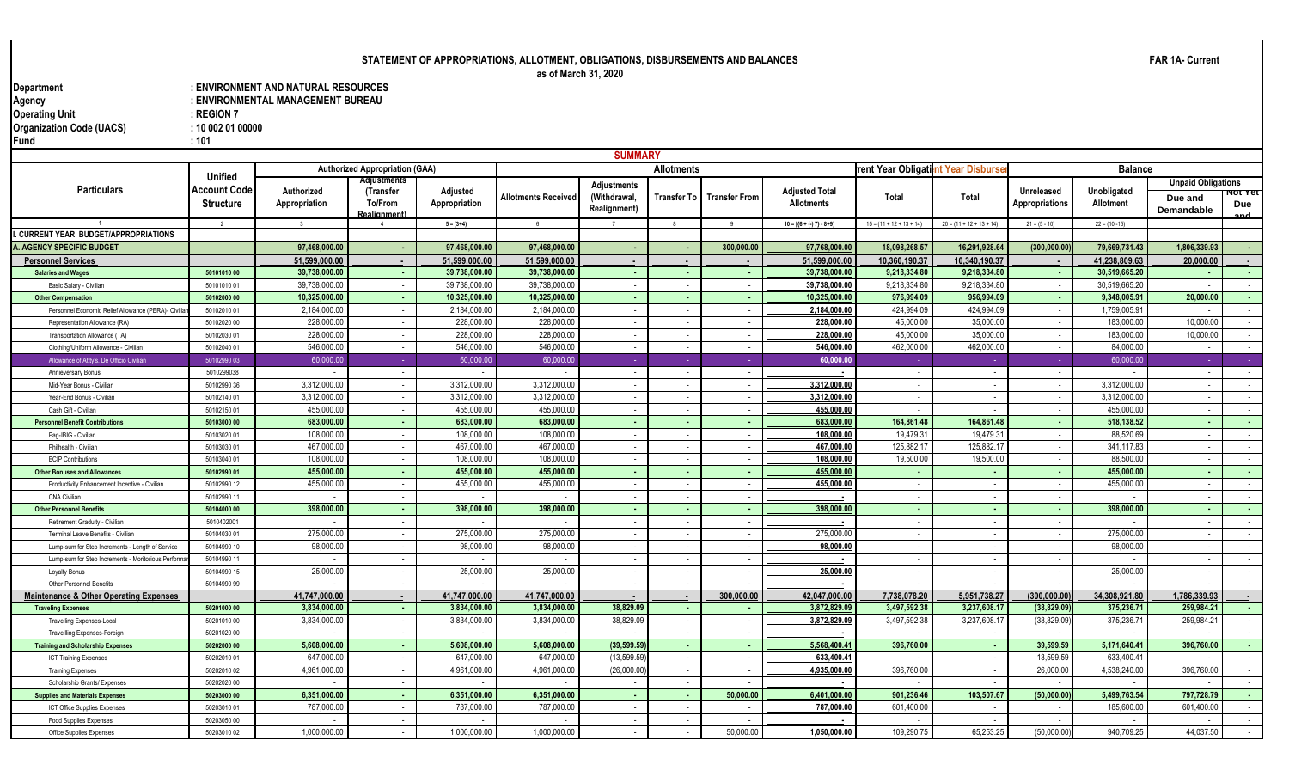# **STATEMENT OF APPROPRIATIONS, ALLOTMENT, OBLIGATIONS, DISBURSEMENTS AND BALANCES**

**as of March 31, 2020**

**Department : ENVIRONMENT AND NATURAL RESOURCES** : ENVIRONMENTAL MANAGEMENT BUREAU<br>: REGION 7 **Operating Unit Contract Contract Contract Contract Contract Contract Contract Contract Contract Contract Contract Contract Contract Contract Contract Contract Contract Contract Contract Contract Contract Contract Contract Organization Code (UACS) : 10 002 01 00000 Fund : 101**

|                                                                        |                                  |                               |                                       |                              |                              | <b>SUMMARY</b>                       |                          |                          |                                            |                                   |                             |                                            |                            |                              |                      |
|------------------------------------------------------------------------|----------------------------------|-------------------------------|---------------------------------------|------------------------------|------------------------------|--------------------------------------|--------------------------|--------------------------|--------------------------------------------|-----------------------------------|-----------------------------|--------------------------------------------|----------------------------|------------------------------|----------------------|
|                                                                        |                                  |                               | <b>Authorized Appropriation (GAA)</b> |                              |                              |                                      | <b>Allotments</b>        |                          |                                            | rent Year Obligatint Year Disburs |                             |                                            | <b>Balance</b>             |                              |                      |
|                                                                        | Unified                          |                               | <b>Adjustment</b>                     |                              |                              | <b>Adjustments</b>                   |                          |                          |                                            |                                   |                             |                                            |                            | <b>Unpaid Obligations</b>    |                      |
| <b>Particulars</b>                                                     | Account Code<br><b>Structure</b> | Authorized<br>Appropriation   | (Transfer<br>To/From<br>Realignment)  | Adjusted<br>Appropriation    | Allotments Received          | (Withdrawal.<br><b>Realignment</b> ) | <b>Transfer To</b>       | <b>Transfer From</b>     | <b>Adjusted Total</b><br><b>Allotments</b> | Total                             | <b>Total</b>                | <b>Unreleased</b><br><b>Appropriations</b> | Unobligated<br>Allotment   | Due and<br><b>Demandable</b> | ΝΟ ΤΕΙ<br>Due<br>and |
|                                                                        | $\overline{\phantom{a}}$         | $\mathcal{R}$                 |                                       | $5 = (3+4)$                  |                              |                                      | $\mathbf{g}$             |                          | $10 = [{6 + (-7) - 8 + 9}]$                | $15 = (11 + 12 + 13 + 14)$        | $20 = (11 + 12 + 13 + 14)$  | $21 = (5 - 10)$                            | $22 = (10 - 15)$           |                              |                      |
| I. CURRENT YEAR BUDGET/APPROPRIATIONS                                  |                                  |                               |                                       |                              |                              |                                      |                          |                          |                                            |                                   |                             |                                            |                            |                              |                      |
| <b>A. AGENCY SPECIFIC BUDGET</b>                                       |                                  | 97.468.000.00                 |                                       | 97.468.000.00                | 97.468.000.00                |                                      | $\overline{\phantom{a}}$ | 300.000.00               | 97,768,000.0                               | 18.098.268.57                     | 16.291.928.64               | (300, 000.00)                              | 79.669.731.43              | 1.806.339.93                 |                      |
| <b>Personnel Services</b>                                              |                                  | 51,599,000.00                 |                                       | 51,599,000.00                | 51,599,000.00                |                                      |                          |                          | 51.599.000.00                              | 10,360,190.37                     | 10,340,190.37               |                                            | 41.238.809.63              | 20,000,00                    |                      |
| <b>Salaries and Wages</b>                                              | 50101010 00                      | 39.738.000.00                 |                                       | 39.738.000.00                | 39.738.000.00                |                                      | . .                      |                          | 39,738,000.00                              | 9.218.334.80                      | 9.218.334.80                | <b>.</b>                                   | 30.519.665.20              |                              |                      |
| Basic Salary - Civilian                                                | 5010101001                       | 39,738,000.00                 | $\overline{\phantom{a}}$              | 39,738,000.0                 | 39,738,000.00                |                                      | $\overline{\phantom{a}}$ |                          | 39,738,000.00                              | 9,218,334.80                      | 9,218,334.80                |                                            | 30,519,665.20              |                              |                      |
| <b>Other Compensation</b>                                              | 50102000 00                      | 10,325,000.00                 | $\sim$                                | 10,325,000.00                | 10,325,000.00                |                                      | $\sim$                   | ٠.                       | 10,325,000.0                               | 976.994.09                        | 956,994.09                  | ٠.                                         | 9,348,005.91               | 20,000.00                    | $\sim$               |
| Personnel Economic Relief Allowance (PERA)- Civil                      | 50102010 01                      | 2,184,000.00                  | $\sim$                                | 2,184,000.00                 | 2,184,000.00                 |                                      | $\sim$                   |                          | 2,184,000.00                               | 424.994.09                        | 424,994.09                  | $\overline{\phantom{a}}$                   | 1,759,005.91               |                              | $\sim$               |
| Representation Allowance (RA)                                          | 50102020 00                      | 228,000.00                    | $\overline{\phantom{a}}$              | 228,000.0                    | 228,000.00                   |                                      | $\overline{\phantom{a}}$ | $\overline{\phantom{a}}$ | 228,000.00                                 | 45,000.00                         | 35,000.00                   |                                            | 183,000.00                 | 10,000.00                    | $\sim$               |
| Transportation Allowance (TA)                                          | 50102030 01                      | 228,000.00                    | $\sim$                                | 228,000.0                    | 228,000.00                   |                                      | $\sim$                   | $\sim$                   | 228,000.0                                  | 45,000.00                         | 35,000.00                   | $\overline{\phantom{a}}$                   | 183,000.00                 | 10,000.00                    | $\sim$               |
| Clothing/Uniform Allowance - Civilian                                  | 50102040 01                      | 546.000.00                    |                                       | 546.000.0                    | 546.000.00                   |                                      | $\sim$                   |                          | 546,000.00                                 | 462.000.00                        | 462.000.00                  |                                            | 84.000.00                  |                              | $\sim$               |
| Allowance of Attty's. De Officio Civilian                              | 5010299003                       | 60,000.00                     |                                       | 60,000.00                    | 60,000.00                    |                                      | n an                     |                          | 60,000.0                                   |                                   |                             |                                            | 60,000.00                  |                              | <b>Contract</b>      |
| Annieversary Bonus                                                     | 5010299038                       |                               |                                       |                              |                              |                                      | $\overline{\phantom{a}}$ |                          |                                            | $\overline{\phantom{a}}$          |                             |                                            |                            |                              | $\sim$               |
| Mid-Year Bonus - Civilian                                              | 5010299036                       | 3,312,000.00                  |                                       | 3,312,000.0                  | 3,312,000.00                 |                                      | $\overline{\phantom{a}}$ |                          | 3,312,000.00                               | $\overline{\phantom{a}}$          |                             |                                            | 3,312,000.00               |                              | $\sim$               |
| Year-End Bonus - Civilian                                              | 50102140 01                      | 3,312,000.00                  | $\sim$                                | 3,312,000.0                  | 3,312,000.00                 | $\overline{\phantom{a}}$             | $\sim$                   | $\sim$                   | 3,312,000.00                               | $\sim$                            | $\sim$                      | $\overline{\phantom{a}}$                   | 3,312,000.00               | $\sim$                       | $\sim$ 100 $\mu$     |
| Cash Gift - Civilian                                                   | 50102150 01                      | 455,000.00                    | $\sim$                                | 455,000.00                   | 455,000.00                   | $\sim$                               | $\sim$                   | $\sim$                   | 455,000.00                                 | $\sim$                            |                             | $\overline{\phantom{a}}$                   | 455,000.00                 |                              | $\sim$               |
| <b>Personnel Benefit Contributions</b>                                 | 50103000 00                      | 683,000.00                    | <b>.</b>                              | 683,000.00                   | 683,000.00                   |                                      | <b>COL</b>               | <b>.</b>                 | 683,000.00                                 | 164.861.48                        | 164.861.48                  | $\sim$                                     | 518,138.52                 | ۰.                           | $\sim 100$           |
| Pag-IBIG - Civilian                                                    | 50103020 01                      | 108,000.00                    | $\overline{\phantom{a}}$              | 108,000.0                    | 108,000.00                   |                                      | $\sim$                   |                          | 108,000.00                                 | 19,479.31                         | 19,479.31                   |                                            | 88,520.69                  |                              | $\sim$               |
| Philhealth - Civilian                                                  | 50103030 01                      | 467.000.00                    |                                       | 467.000.0                    | 467.000.00                   |                                      | $\overline{\phantom{a}}$ |                          | 467.000.00                                 | 125.882.17                        | 125.882.1                   |                                            | 341.117.83                 |                              | $\sim$               |
| <b>ECIP Contributions</b>                                              | 50103040 01                      | 108,000.00                    | $\sim$                                | 108,000.0                    | 108,000.00                   | $\sim$                               | $\sim$                   | $\sim$                   | 108,000.00                                 | 19,500.00                         | 19,500.00                   | $\overline{\phantom{a}}$                   | 88,500.00                  | $\overline{\phantom{a}}$     | $\sim$ 100 $\mu$     |
| <b>Other Bonuses and Allowances</b>                                    | 50102990 01                      | 455,000.00                    | <b>A</b>                              | 455,000.00                   | 455,000.00                   | $\sim$                               | <b>COL</b>               | ۰.                       | 455.000.00                                 | . н.                              |                             |                                            | 455,000.00                 |                              | <b>College</b>       |
| Productivity Enhancement Incentive - Civilian                          | 50102990 12                      | 455,000.00                    | $\sim$                                | 455,000.0                    | 455,000.00                   | $\overline{\phantom{a}}$             | $\sim$                   | $\overline{\phantom{a}}$ | 455,000.0                                  | $\sim$                            |                             | $\overline{\phantom{a}}$                   | 455,000.00                 |                              | $\sim$ $-$           |
| <b>CNA Civilian</b>                                                    | 50102990 11                      |                               | $\overline{\phantom{a}}$              |                              |                              |                                      | $\overline{\phantom{a}}$ |                          |                                            | $\sim$                            |                             |                                            |                            |                              | $\sim$               |
| <b>Other Personnel Benefits</b>                                        | 50104000 00                      | 398,000.00                    |                                       | 398,000.00                   | 398,000.00                   |                                      | $\sim$                   |                          | 398,000.0                                  | $\sim$                            |                             |                                            | 398,000.00                 |                              | $\sim$               |
| Retirement Graduity - Civilian                                         | 5010402001                       |                               | $\overline{\phantom{a}}$              |                              |                              |                                      | $\sim$                   | $\sim$                   |                                            | $\sim$                            |                             |                                            |                            |                              | $\sim$               |
| Terminal Leave Benefits - Civilian                                     | 50104030 01                      | 275,000.00                    | $\sim$                                | 275,000.0                    | 275,000.00                   |                                      | $\overline{\phantom{a}}$ | $\overline{a}$           | 275,000.00                                 | $\sim$                            |                             |                                            | 275,000.00                 |                              | $\sim$               |
| Lump-sum for Step Increments - Length of Service                       | 50104990 10                      | 98,000.00                     | $\sim$                                | 98,000.0                     | 98,000.00                    |                                      | $\sim$                   | $\sim$                   | 98,000.00                                  | $\sim$                            |                             | $\sim$                                     | 98,000.00                  |                              | $\sim$ 100 $\mu$     |
| Lump-sum for Step Increments - Moritorious Perforr                     | 50104990 11                      |                               |                                       |                              |                              |                                      |                          |                          |                                            | $\overline{\phantom{a}}$          |                             |                                            |                            |                              | $\sim$               |
| <b>Loyalty Bonus</b>                                                   | 50104990 15                      | 25,000.00                     | $\sim$                                | 25,000.0                     | 25,000.00                    |                                      | $\sim$                   | $\sim$                   | 25,000.00                                  | $\sim$                            |                             | $\overline{\phantom{a}}$                   | 25,000.00                  |                              | $\sim$               |
| Other Personnel Benefits                                               | 50104990 99                      |                               |                                       |                              |                              |                                      | $\overline{\phantom{a}}$ |                          |                                            | $\overline{\phantom{a}}$          |                             |                                            |                            |                              | $\sim$               |
| <b>Maintenance &amp; Other Operating Expenses</b>                      |                                  | 41,747,000.00<br>3,834,000.00 | $\overline{\phantom{a}}$              | 41.747.000.0<br>3,834,000.00 | 41.747.000.00                | 38,829.09                            | $\blacksquare$           | 300,000.00               | 42,047,000.0                               | 7,738,078.20<br>3,497,592.38      | 5,951,738.27<br>3,237,608.1 | (300, 000.00)<br>(38, 829.09)              | 34,308,921.80<br>375,236.7 | 1,786,339.93<br>259,984.21   |                      |
| <b>Traveling Expenses</b>                                              | 50201000 00                      | 3,834,000.00                  | $\sim$                                | 3,834,000.00                 | 3,834,000.00<br>3,834,000.00 | 38,829.09                            | $\sim$                   | ۰.                       | 3,872,829.09<br>3,872,829.09               | 3,497,592.38                      | 3,237,608.1                 | (38,829.09                                 | 375,236.7                  | 259.984.2                    | <b>Section</b>       |
| <b>Travelling Expenses-Local</b>                                       | 50201010 00                      |                               | $\sim$<br>$\sim$                      |                              |                              |                                      | $\sim$<br>$\sim$         | $\sim$                   |                                            |                                   |                             |                                            |                            |                              | $\sim$<br>$\sim$     |
| <b>Travellling Expenses-Foreign</b>                                    | 50201020 00                      | 5,608,000.00                  | $\sim$                                | 5,608,000.00                 | 5,608,000.00                 | (39, 599.59)                         |                          | $\overline{\phantom{a}}$ |                                            | 396,760.00                        |                             | 39,599.59                                  | 5,171,640.41               | 396,760.00                   |                      |
| <b>Training and Scholarship Expenses</b>                               | 50202000 00<br>50202010 01       | 647,000.00                    |                                       | 647,000.0                    | 647,000.00                   | (13, 599.59)                         | $\sim$<br>$\sim$         |                          | 5,568,400.4<br>633,400.41                  |                                   |                             | 13,599.59                                  | 633,400.4                  |                              | <b>Section</b>       |
| <b>ICT Training Expenses</b>                                           | 50202010 02                      | 4,961,000.00                  | $\sim$                                | 4,961,000.0                  | 4,961,000.00                 | (26,000.00)                          | $\sim$                   | $\overline{\phantom{a}}$ | 4,935,000.00                               | 396.760.00                        | $\sim$                      | 26,000.00                                  | 4,538,240.00               | 396.760.00                   | $\sim$<br>$\sim$     |
| <b>Training Expenses</b>                                               |                                  |                               | $\overline{\phantom{a}}$              |                              |                              |                                      | $\sim$                   |                          |                                            | $\overline{\phantom{a}}$          |                             |                                            |                            |                              | $\sim$               |
| Scholarship Grants/ Expenses                                           | 50202020 00<br>50203000 00       | 6,351,000.00                  |                                       | 6,351,000.00                 | 6,351,000.00                 | . .                                  |                          | 50,000.00                | 6,401,000.00                               | 901,236.46                        | 103,507.67                  | (50,000.00)                                | 5,499,763.54               | 797,728.79                   | $\sim$               |
| <b>Supplies and Materials Expenses</b><br>ICT Office Supplies Expenses | 50203010 01                      | 787,000.00                    | $\sim$                                | 787,000.0                    | 787.000.00                   |                                      | $\sim$<br>$\overline{a}$ |                          | 787,000.00                                 | 601.400.00                        |                             |                                            | 185,600.00                 | 601.400.00                   | $\sim$               |
| <b>Food Supplies Expenses</b>                                          | 50203050 00                      |                               | $\overline{\phantom{a}}$              |                              |                              |                                      | $\sim$                   |                          |                                            | $\overline{\phantom{a}}$          |                             |                                            |                            |                              | $\sim$               |
| Office Supplies Expenses                                               | 50203010 02                      | 1.000.000.00                  |                                       | 1.000.000.00                 | 1.000.000.00                 |                                      |                          | 50.000.00                | 1.050.000.00                               | 109.290.75                        | 65.253.25                   | (50.000.00)                                | 940.709.25                 | 44.037.50                    |                      |
|                                                                        |                                  |                               |                                       |                              |                              |                                      |                          |                          |                                            |                                   |                             |                                            |                            |                              |                      |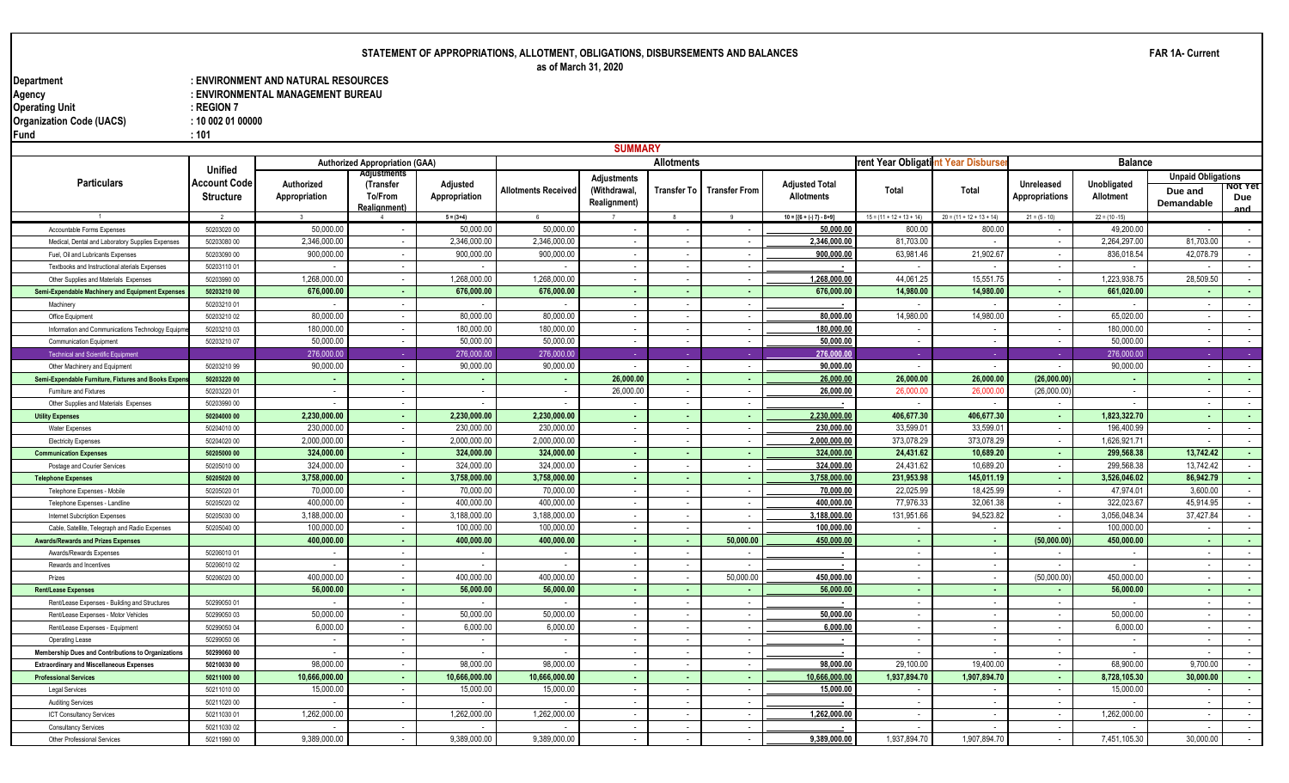# **STATEMENT OF APPROPRIATIONS, ALLOTMENT, OBLIGATIONS, DISBURSEMENTS AND BALANCES as of March 31, 2020**

**Department : ENVIRONMENT AND NATURAL RESOURCES** : ENVIRONMENTAL MANAGEMENT BUREAU<br>: REGION 7 **Operating Unit Contract Contract Contract Contract Contract Contract Contract Contract Contract Contract Contract Contract Contract Contract Contract Contract Contract Contract Contract Contract Contract Contract Contract Organization Code (UACS) : 10 002 01 00000 Fund : 101**

|                                                     |                                |                             | <b>SUMMARY</b>                        |                           |                     |                              |                          |                          |                                                                 |                                   |                            |                                            |                          |                              |                  |
|-----------------------------------------------------|--------------------------------|-----------------------------|---------------------------------------|---------------------------|---------------------|------------------------------|--------------------------|--------------------------|-----------------------------------------------------------------|-----------------------------------|----------------------------|--------------------------------------------|--------------------------|------------------------------|------------------|
|                                                     |                                |                             | <b>Authorized Appropriation (GAA)</b> |                           |                     |                              | <b>Allotments</b>        |                          |                                                                 | rent Year Obligatint Year Disburs |                            |                                            | <b>Balance</b>           |                              |                  |
| <b>Particulars</b>                                  | <b>Unified</b><br>Account Code |                             | Adjustment                            |                           |                     | Adjustments                  |                          |                          |                                                                 |                                   |                            |                                            |                          | <b>Unpaid Obligations</b>    |                  |
|                                                     | <b>Structure</b>               | Authorized<br>Appropriation | (Transfer<br>To/From<br>Realignment)  | Adjusted<br>Appropriation | Allotments Received | (Withdrawal,<br>Realignment) | Transfer To I            | <b>Transfer From</b>     | <b>Adjusted Total</b><br><b>Allotments</b>                      | Total                             | Total                      | <b>Unreleased</b><br><b>Appropriations</b> | Unobligated<br>Allotment | Due and<br><b>Demandable</b> | NOT TET<br>Due   |
|                                                     |                                |                             |                                       | $5 = (3+4)$               |                     |                              | -8                       |                          | $10 = \left[\left\{6 + \left(-\right) 7\right\} - 8 + 9\right]$ | $15 = (11 + 12 + 13 + 14)$        | $20 = (11 + 12 + 13 + 14)$ | $21 = (5 - 10)$                            | $22 = (10 - 15)$         |                              |                  |
| Accountable Forms Expenses                          | 50203020 00                    | 50,000.00                   |                                       | 50.000.00                 | 50.000.0            |                              | $\overline{\phantom{a}}$ |                          | 50,000.00                                                       | 800.00                            | 800.00                     |                                            | 49.200.00                |                              | $\sim$           |
| Medical, Dental and Laboratory Supplies Expenses    | 50203080 00                    | 2,346,000.00                | $\sim$                                | 2,346,000.00              | 2,346,000.00        | $\sim$                       | $\sim$                   | $\sim$                   | 2,346,000.00                                                    | 81,703.00                         |                            | $\overline{\phantom{a}}$                   | 2,264,297.00             | 81,703.00                    | $\sim$           |
| Fuel, Oil and Lubricants Expenses                   | 50203090 00                    | 900,000.00                  |                                       | 900,000.00                | 900,000.00          | $\overline{\phantom{a}}$     | $\sim$                   |                          | 900.000.00                                                      | 63,981.46                         | 21,902.67                  |                                            | 836,018.54               | 42,078.79                    | $\sim$           |
| Textbooks and Instructional aterials Expenses       | 5020311001                     | $\overline{\phantom{a}}$    | $\sim$                                | $\sim$                    |                     | $\sim$                       | $\sim$                   | $\sim$                   |                                                                 | $\overline{\phantom{a}}$          |                            | $\sim$                                     | $\overline{\phantom{a}}$ | $\sim$                       | $\sim$ 100 $\mu$ |
| Other Supplies and Materials Expenses               | 50203990 00                    | 1,268,000.00                | $\sim$                                | 1,268,000.00              | 1,268,000.00        | $\sim$                       | $\sim$                   | $\sim$                   | 1,268,000.00                                                    | 44,061.25                         | 15,551.75                  | $\sim$                                     | 1,223,938.75             | 28,509.50                    | $\sim 10^{-11}$  |
| Semi-Expendable Machinery and Equipment Expenses    | 50203210 00                    | 676,000.00                  | <b>A</b>                              | 676,000.00                | 676,000.00          | $\sim$                       | $\sim$                   | $\sim$                   | 676,000.00                                                      | 14,980.00                         | 14,980.00                  | $\sim$                                     | 661,020.00               | $\sim$                       | $\sim 100$       |
| Machinery                                           | 50203210 01                    | $\overline{\phantom{a}}$    |                                       | $\sim$                    |                     |                              | $\sim$                   |                          |                                                                 | $\overline{\phantom{a}}$          |                            |                                            | $\overline{\phantom{a}}$ |                              | $\sim$           |
| Office Equipment                                    | 5020321002                     | 80.000.00                   | $\sim$                                | 80.000.00                 | 80.000.00           | $\sim$                       | $\sim$                   | $\sim$                   | 80,000.00                                                       | 14.980.00                         | 14,980.00                  | $\sim$                                     | 65.020.00                | $\sim$                       | $\sim$ $-$       |
| Information and Communications Technology Equipr    | 5020321003                     | 180,000.00                  | $\overline{\phantom{a}}$              | 180,000.00                | 180,000.00          | $\overline{\phantom{a}}$     | $\sim$                   | $\overline{\phantom{a}}$ | 180,000.00                                                      | $\overline{\phantom{a}}$          |                            | $\overline{\phantom{a}}$                   | 180,000.00               | $\overline{\phantom{a}}$     | $\sim$           |
| Communication Equipment                             | 50203210 07                    | 50,000.00                   |                                       | 50,000.00                 | 50,000.00           | $\sim$                       | $\sim$                   |                          | 50,000.00                                                       | $\sim$                            |                            | $\overline{\phantom{a}}$                   | 50,000.00                |                              | $\sim$           |
| <b>Technical and Scientific Equipment</b>           |                                | 276,000.00                  |                                       | 276,000.00                | 276,000.00          |                              |                          |                          | 276,000.0                                                       |                                   |                            |                                            | 276,000.00               |                              |                  |
| Other Machinery and Equipment                       | 50203210 99                    | 90,000.00                   | $\overline{\phantom{a}}$              | 90,000.00                 | 90,000.00           | $\sim$                       | $\sim$                   |                          | 90,000.00                                                       | $\sim$                            |                            |                                            | 90,000.00                | $\sim$                       | $\sim$           |
| Semi-Expendable Furniture, Fixtures and Books Exper | 50203220 00                    | $\sim$                      | $\sim$                                | ٠.                        |                     | 26,000.00                    | $\sim$                   |                          | 26,000.00                                                       | 26,000.00                         | 26,000.00                  | (26,000.00)                                | $\sim$                   | $\sim$                       | $\sim$           |
| Furniture and Fixtures                              | 50203220 01                    | $\sim$                      | $\overline{\phantom{a}}$              | $\sim$                    |                     | 26,000.00                    | $\overline{\phantom{a}}$ |                          | 26,000.00                                                       | 26,000.0                          | 26,000.0                   | (26,000.00)                                | $\overline{\phantom{a}}$ |                              | $\sim$           |
| Other Supplies and Materials Expenses               | 50203990 00                    |                             |                                       |                           |                     |                              | $\sim$                   |                          |                                                                 |                                   |                            |                                            |                          |                              | $\sim$           |
| <b>Utility Expenses</b>                             | 50204000 00                    | 2,230,000.00                |                                       | 2,230,000.00              | 2,230,000.00        |                              | $\sim$                   |                          | 2,230,000.0                                                     | 406,677.30                        | 406,677.30                 |                                            | 1,823,322.70             |                              | $\sim$           |
| <b>Water Expenses</b>                               | 50204010 00                    | 230.000.00                  | $\sim$                                | 230,000.00                | 230.000.00          | $\overline{\phantom{a}}$     | $\sim$                   |                          | 230,000.00                                                      | 33,599.0                          | 33,599.0                   | $\overline{\phantom{a}}$                   | 196.400.99               |                              | $\sim$           |
| <b>Electricity Expenses</b>                         | 50204020 00                    | 2,000,000.00                |                                       | 2,000,000.00              | 2,000,000.00        | $\sim$                       | $\overline{\phantom{a}}$ |                          | 2.000.000.00                                                    | 373,078.29                        | 373,078.29                 |                                            | 1,626,921.7              |                              | $\sim$           |
| <b>Communication Expenses</b>                       | 50205000 00                    | 324,000.00                  | . н.                                  | 324,000.00                | 324,000.00          | . н.                         | $\sim$                   | <b>.</b>                 | 324,000.00                                                      | 24,431.62                         | 10,689.20                  | $\blacksquare$                             | 299,568.38               | 13,742.42                    | <b>Section</b>   |
| Postage and Courier Services                        | 50205010 00                    | 324,000.00                  |                                       | 324,000.00                | 324,000.00          | $\overline{\phantom{a}}$     | $\sim$                   | $\sim$                   | 324,000.00                                                      | 24,431.62                         | 10,689.20                  | $\overline{\phantom{a}}$                   | 299,568.38               | 13,742.42                    | $\sim$           |
| <b>Telephone Expenses</b>                           | 50205020 00                    | 3,758,000.00                | <b>A</b>                              | 3,758,000.00              | 3,758,000.00        | $\sim$                       | $\sim$                   | <b>.</b>                 | 3,758,000.00                                                    | 231,953.98                        | 145,011.19                 | $\sim$                                     | 3,526,046.02             | 86,942.79                    | $\sim 100$       |
| Telephone Expenses - Mobile                         | 50205020 01                    | 70,000.00                   | $\overline{\phantom{a}}$              | 70,000.00                 | 70,000.00           | $\sim$                       | $\sim$                   |                          | 70,000.00                                                       | 22,025.99                         | 18,425.99                  | $\overline{\phantom{a}}$                   | 47,974.01                | 3,600.00                     | $\sim$           |
| Telephone Expenses - Landline                       | 50205020 02                    | 400,000.00                  | $\sim$                                | 400,000.00                | 400,000.00          | $\sim$                       | $\sim$                   | $\sim$                   | 400,000.00                                                      | 77,976.33                         | 32,061.38                  | $\overline{\phantom{a}}$                   | 322,023.67               | 45,914.95                    | $\sim$           |
| <b>Internet Subcription Expenses</b>                | 50205030 00                    | 3,188,000.00                |                                       | 3,188,000.00              | 3,188,000.00        |                              | $\overline{\phantom{a}}$ |                          | 3,188,000.00                                                    | 131,951.66                        | 94,523.82                  | $\overline{\phantom{a}}$                   | 3,056,048.34             | 37,427.84                    | $\sim$           |
| Cable, Satellite, Telegraph and Radio Expenses      | 50205040 00                    | 100,000.00                  |                                       | 100.000.00                | 100.000.00          | $\sim$                       | $\sim$                   |                          | 100,000.00                                                      | $\overline{\phantom{a}}$          |                            |                                            | 100,000.00               |                              | $\sim$           |
| <b>Awards/Rewards and Prizes Expenses</b>           |                                | 400,000.00                  | $\sim$                                | 400,000.00                | 400,000.00          | $\sim$                       | $\sim$                   | 50,000.0                 | 450,000.00                                                      | . .                               |                            | (50,000.00)                                | 450,000.00               |                              | . н.             |
| Awards/Rewards Expenses                             | 50206010 01                    |                             |                                       |                           |                     |                              | $\sim$                   |                          |                                                                 | $\sim$                            |                            |                                            |                          |                              | $\sim$           |
| Rewards and Incentives                              | 50206010 02                    | $\overline{\phantom{a}}$    |                                       |                           |                     | $\overline{\phantom{a}}$     | $\sim$                   |                          |                                                                 | $\sim$                            |                            |                                            | $\sim$                   |                              | $\sim$           |
| Prizes                                              | 50206020 00                    | 400.000.00                  |                                       | 400.000.00                | 400.000.00          | $\sim$                       | $\sim$                   | 50,000.0                 | 450,000.0                                                       | $\sim$                            |                            | (50,000.00)                                | 450.000.00               |                              | $\sim$           |
| <b>Rent/Lease Expenses</b>                          |                                | 56,000.00                   | $\sim$                                | 56,000.00                 | 56,000.00           | $\sim$                       | $\sim$                   |                          | 56,000.00                                                       | $\sim$                            |                            |                                            | 56,000.00                |                              | <b>Section</b>   |
| Rent/Lease Expenses - Building and Structures       | 50299050 01                    |                             |                                       |                           |                     |                              | $\overline{\phantom{a}}$ |                          |                                                                 | $\sim$                            |                            |                                            |                          |                              | $\sim$           |
| Rent/Lease Expenses - Motor Vehicles                | 50299050 03                    | 50.000.00                   |                                       | 50.000.00                 | 50.000.00           |                              | $\overline{\phantom{a}}$ |                          | 50,000.00                                                       | $\sim$                            |                            |                                            | 50.000.00                |                              | $\sim$           |
| Rent/Lease Expenses - Equipment                     | 50299050 04                    | 6,000.00                    |                                       | 6,000.00                  | 6,000.00            |                              | $\sim$                   |                          | 6,000.00                                                        | $\overline{\phantom{a}}$          |                            |                                            | 6.000.00                 |                              | $\sim$           |
| Operating Lease                                     | 50299050 06                    | $\overline{\phantom{a}}$    |                                       | $\sim$                    |                     | $\sim$                       | $\sim$                   | $\sim$                   | . .                                                             | $\sim$                            |                            | $\overline{\phantom{a}}$                   | $\overline{\phantom{a}}$ | $\overline{\phantom{a}}$     | $\sim$           |
| Membership Dues and Contributions to Organizations  | 50299060 00                    |                             |                                       | $\sim$                    |                     |                              | $\sim$                   | $\sim$                   |                                                                 | $\overline{\phantom{a}}$          |                            |                                            |                          |                              | $\sim$           |
| <b>Extraordinary and Miscellaneous Expenses</b>     | 50210030 00                    | 98,000.00                   | $\sim$                                | 98,000.00                 | 98,000.00           | $\sim$                       | $\sim$                   | $\sim$                   | 98,000.00                                                       | 29,100.00                         | 19,400.00                  | $\sim$                                     | 68,900.00                | 9,700.00                     | $\sim$ 100 $\mu$ |
| <b>Professional Services</b>                        | 50211000 00                    | 10,666,000.00               |                                       | 10,666,000.00             | 10,666,000.00       | $\sim$                       | $\sim$                   | <b>.</b>                 | 10,666,000.00                                                   | 1,937,894.70                      | 1,907,894.70               | <b>.</b>                                   | 8,728,105.30             | 30,000.00                    | $\sim$           |
| <b>Legal Services</b>                               | 5021101000                     | 15,000.00                   | $\sim$                                | 15,000.00                 | 15,000.00           | $\sim$                       | $\sim$                   | $\sim$                   | 15,000.00                                                       | $\sim$                            |                            | $\sim$                                     | 15,000.00                | $\sim$                       | $\sim$           |
| <b>Auditing Services</b>                            | 50211020 00                    |                             |                                       |                           |                     |                              | $\sim$                   |                          |                                                                 |                                   |                            |                                            |                          |                              | $\sim$           |
| <b>ICT Consultancy Services</b>                     | 50211030 01                    | 1,262,000.00                |                                       | 1,262,000.00              | 1,262,000.00        | $\sim$                       | $\sim$                   | $\sim$                   | 1,262,000.00                                                    | $\sim$                            |                            | $\sim$                                     | 1,262,000.00             | $\sim$                       | $\sim 100$       |
| <b>Consultancy Services</b>                         | 50211030 02                    |                             |                                       |                           |                     | $\overline{\phantom{a}}$     | $\sim$                   | $\sim$                   |                                                                 | $\overline{a}$                    |                            | $\overline{\phantom{a}}$                   |                          |                              | $\sim$           |
| Other Professional Services                         | 50211990 00                    | 9,389,000.00                |                                       | 9,389,000.00              | 9,389,000.00        |                              | $\sim$                   | $\overline{\phantom{a}}$ | 9,389,000.00                                                    | 1,937,894.70                      | 1,907,894.70               |                                            | 7,451,105.30             | 30,000.00                    | $\sim$           |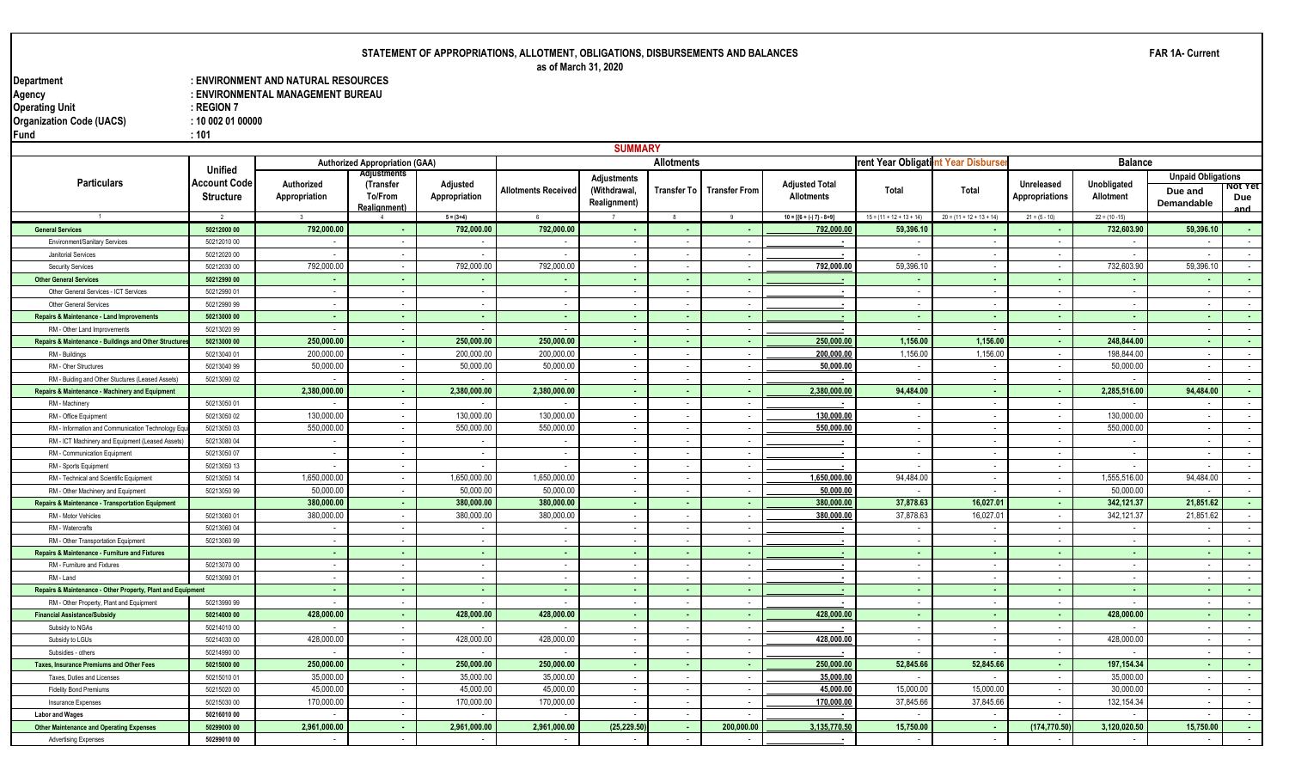# **STATEMENT OF APPROPRIATIONS, ALLOTMENT, OBLIGATIONS, DISBURSEMENTS AND BALANCES as of March 31, 2020**

**Department : ENVIRONMENT AND NATURAL RESOURCES** : ENVIRONMENTAL MANAGEMENT BUREAU<br>: REGION 7 **Operating Unit Contract Contract Contract Contract Contract Contract Contract Contract Contract Contract Contract Contract Contract Contract Contract Contract Contract Contract Contract Contract Contract Contract Contract Organization Code (UACS) : 10 002 01 00000 Fund : 101**

|                                                             |                                             |                             |                                                                           |                           |                            | <b>SUMMARY</b>                                            |                          |                      |                                            |                                   |                            |                                     |                          |                                                           |                   |
|-------------------------------------------------------------|---------------------------------------------|-----------------------------|---------------------------------------------------------------------------|---------------------------|----------------------------|-----------------------------------------------------------|--------------------------|----------------------|--------------------------------------------|-----------------------------------|----------------------------|-------------------------------------|--------------------------|-----------------------------------------------------------|-------------------|
|                                                             |                                             |                             | <b>Authorized Appropriation (GAA)</b>                                     |                           |                            |                                                           | <b>Allotments</b>        |                      |                                            | rent Year Obligatint Year Disburs |                            |                                     | <b>Balance</b>           |                                                           |                   |
| <b>Particulars</b>                                          | Unified<br>Account Code<br><b>Structure</b> | Authorized<br>Appropriation | <b>Adjustments</b><br>(Transfer<br><b>To/From</b><br><b>Realignment</b> ) | Adjusted<br>Appropriation | <b>Allotments Received</b> | <b>Adjustments</b><br>(Withdrawal,<br><b>Realignment)</b> | Transfer To I            | <b>Transfer From</b> | <b>Adjusted Total</b><br><b>Allotments</b> | Total                             | Total                      | Unreleased<br><b>Appropriations</b> | Unobligated<br>Allotment | <b>Unpaid Obligations</b><br>Due and<br><b>Demandable</b> | ΝΟΙ ΤΕΙ<br>Due    |
|                                                             | $\overline{\phantom{a}}$                    |                             |                                                                           | $5 = (3+4)$               | 6                          |                                                           | $\mathbf{R}$             | $\mathbf{q}$         | $10 = [{6 + (-7) - 8 + 9}]$                | $15 = (11 + 12 + 13 + 14)$        | $20 = (11 + 12 + 13 + 14)$ | $21 = (5 - 10)$                     | $22 = (10 - 15)$         |                                                           | and               |
| <b>General Services</b>                                     | 50212000 00                                 | 792,000.00                  |                                                                           | 792,000.00                | 792,000.00                 |                                                           | $\sim$                   |                      | 792,000.00                                 | 59,396.10                         |                            |                                     | 732,603.90               | 59,396.10                                                 |                   |
| <b>Environment/Sanitary Services</b>                        | 50212010 00                                 |                             |                                                                           |                           |                            |                                                           | $\overline{\phantom{a}}$ | $\sim$               |                                            |                                   |                            |                                     |                          |                                                           | $\sim$            |
| Janitorial Services                                         | 50212020 00                                 |                             |                                                                           |                           |                            |                                                           | $\overline{\phantom{a}}$ | $\sim$               |                                            |                                   |                            |                                     |                          |                                                           | $\sim$            |
| Security Services                                           | 50212030 00                                 | 792,000.00                  | $\sim$                                                                    | 792,000.00                | 792,000.0                  | $\sim$                                                    | $\sim$                   | $\sim$               | 792,000.00                                 | 59,396.1                          |                            | $\overline{\phantom{a}}$            | 732,603.90               | 59,396.10                                                 | $\sim$ 100 $\mu$  |
| <b>Other General Services</b>                               | 50212990 00                                 | $\sim$                      | . н.                                                                      | $\sim$                    | <b>.</b>                   | . п.                                                      | $\sim$                   | ۰.                   |                                            | . .                               |                            |                                     |                          |                                                           | <b>COL</b>        |
| Other General Services - ICT Services                       | 50212990 01                                 | $\sim$                      | $\sim$                                                                    | $\sim$                    | $\sim$                     | $\sim$                                                    | $\sim$                   | $\sim$               | $\sim$                                     | $\sim$                            |                            | $\overline{\phantom{a}}$            | $\sim$                   | $\sim$                                                    | $\sim$ 100 $\sim$ |
| Other General Services                                      | 50212990 99                                 | $\sim$                      | $\sim$                                                                    | $\sim$                    | $\sim$                     | $\overline{a}$                                            | $\sim$                   | $\sim$               |                                            | $\sim$                            |                            | $\overline{\phantom{a}}$            | $\overline{\phantom{a}}$ | $\overline{\phantom{a}}$                                  | $\sim$            |
| <b>Repairs &amp; Maintenance - Land Improvements</b>        | 50213000 00                                 | $\sim$                      | $\sim$                                                                    | $\sim$                    | $\sim$                     | $\sim$                                                    | $\sim$                   | $\sim$               |                                            | $\sim$                            | . н.                       | $\sim$                              | $\sim$                   | $\sim$                                                    | $\sim 10$         |
| RM - Other Land Improvements                                | 50213020 99                                 | $\overline{\phantom{a}}$    |                                                                           | $\overline{\phantom{a}}$  |                            | $\overline{\phantom{a}}$                                  | $\overline{\phantom{a}}$ | $\sim$               |                                            | $\sim$                            |                            | $\overline{\phantom{a}}$            | $\overline{\phantom{a}}$ |                                                           | $\sim$            |
| Repairs & Maintenance - Buildings and Other Structure       | 50213000 00                                 | 250,000.00                  | <b>.</b>                                                                  | 250,000.00                | 250,000.00                 | . н.                                                      | $\sim$                   | <b>.</b>             | 250,000.00                                 | 1,156.00                          | 1,156.00                   | $\sim$                              | 248,844.00               | $\sim$                                                    | $\sim 10$         |
| RM - Buildings                                              | 50213040 01                                 | 200,000.00                  |                                                                           | 200,000.00                | 200,000.00                 | $\overline{a}$                                            | $\overline{\phantom{a}}$ |                      | 200,000.00                                 | 1,156.00                          | 1,156.00                   | $\overline{\phantom{a}}$            | 198,844.00               |                                                           | $\sim$            |
| RM - Oher Structures                                        | 50213040 99                                 | 50,000.00                   |                                                                           | 50,000.00                 | 50,000.0                   | $\overline{a}$                                            | $\sim$                   | $\sim$               | 50,000.00                                  | $\sim$                            |                            |                                     | 50,000.00                | $\overline{\phantom{a}}$                                  | $\sim$            |
| RM - Buiding and Other Stuctures (Leased Assets)            | 50213090 02                                 |                             |                                                                           |                           |                            | $\overline{a}$                                            | $\overline{\phantom{a}}$ | $\sim$               |                                            | $\sim$                            |                            | $\overline{\phantom{a}}$            |                          |                                                           | $\sim$            |
| Repairs & Maintenance - Machinery and Equipment             |                                             | 2,380,000.00                | $\sim$                                                                    | 2,380,000.00              | 2,380,000.00               |                                                           | $\sim$                   | . .                  | 2,380,000.0                                | 94,484.00                         |                            | $\sim$                              | 2,285,516.00             | 94,484.00                                                 | $\sim$            |
| RM - Machinery                                              | 50213050 01                                 |                             |                                                                           |                           |                            |                                                           | $\overline{\phantom{a}}$ | $\sim$               |                                            |                                   |                            |                                     |                          |                                                           | $\sim$            |
| RM - Office Equipment                                       | 50213050 02                                 | 130,000.00                  |                                                                           | 130,000.00                | 130,000.0                  |                                                           | $\overline{\phantom{a}}$ |                      | 130,000.0                                  | $\sim$                            |                            |                                     | 130,000.00               |                                                           | $\sim$            |
| RM - Information and Communication Technology Eq            | 50213050 03                                 | 550,000.00                  |                                                                           | 550,000.00                | 550,000.0                  |                                                           | $\overline{\phantom{a}}$ | $\sim$               | 550,000.00                                 | $\sim$                            |                            | $\overline{\phantom{a}}$            | 550,000.00               |                                                           | $\sim$            |
| RM - ICT Machinery and Equipment (Leased Assets)            | 50213080 04                                 | $\overline{\phantom{a}}$    |                                                                           | $\overline{\phantom{a}}$  |                            |                                                           | $\overline{\phantom{a}}$ |                      |                                            | $\sim$                            |                            |                                     |                          |                                                           | $\sim$            |
| RM - Communication Equipment                                | 50213050 07                                 | $\sim$                      | $\sim$                                                                    | $\sim$                    |                            | $\overline{\phantom{a}}$                                  | $\overline{\phantom{a}}$ | $\sim$               | . п.                                       | $\sim$                            |                            |                                     | $\overline{\phantom{a}}$ |                                                           | $\sim$ $-$        |
| RM - Sports Equipment                                       | 50213050 13                                 | $\overline{\phantom{a}}$    | $\sim$                                                                    | $\overline{\phantom{a}}$  |                            |                                                           | $\sim$                   | $\sim$               |                                            | $\sim$                            |                            | $\overline{\phantom{a}}$            |                          |                                                           | $\sim$ $-$        |
| RM - Technical and Scientific Equipment                     | 50213050 14                                 | 1,650,000.00                | $\sim$                                                                    | 1,650,000.00              | 1,650,000.00               | $\sim$                                                    | $\sim$ $-$               | $\sim$               | 1,650,000.00                               | 94,484.00                         | $\sim$                     | $\sim$                              | 1,555,516.00             | 94,484.00                                                 | $\sim$ 100 $\mu$  |
| RM - Other Machinery and Equipment                          | 50213050 99                                 | 50,000.00                   | $\overline{\phantom{a}}$                                                  | 50,000.00                 | 50,000.00                  | $\sim$                                                    | $\overline{\phantom{a}}$ | $\sim$               | 50,000.00                                  | $\overline{\phantom{a}}$          |                            | $\overline{\phantom{a}}$            | 50,000.00                | $\overline{\phantom{a}}$                                  | $\sim$            |
| Repairs & Maintenance - Transportation Equipment            |                                             | 380,000.00                  | . н.                                                                      | 380,000,00                | 380,000.00                 | . н.                                                      | $\sim$                   | <b>.</b>             | 380,000.00                                 | 37,878.63                         | 16.027.01                  | <b>.</b>                            | 342.121.37               | 21.851.62                                                 | <b>Service</b>    |
| RM - Motor Vehicles                                         | 50213060 01                                 | 380,000.00                  |                                                                           | 380,000.00                | 380,000.00                 |                                                           | $\overline{\phantom{a}}$ | $\sim$               | 380,000.00                                 | 37,878.63                         | 16,027.0                   | $\overline{\phantom{a}}$            | 342,121.37               | 21,851.62                                                 | $\sim$            |
| RM - Watercrafts                                            | 50213060 04                                 | $\overline{\phantom{a}}$    |                                                                           | $\overline{\phantom{a}}$  |                            | $\overline{\phantom{a}}$                                  | $\sim$                   | $\sim$               |                                            | $\overline{\phantom{a}}$          |                            |                                     | $\overline{\phantom{a}}$ |                                                           | $\sim$            |
| RM - Other Transportation Equipment                         | 50213060 99                                 | $\sim$                      |                                                                           | $\sim$                    |                            |                                                           | $\overline{\phantom{a}}$ | $\sim$               |                                            | $\sim$                            |                            |                                     | $\overline{\phantom{a}}$ |                                                           | $\sim$            |
| Repairs & Maintenance - Furniture and Fixtures              |                                             | $\sim$                      |                                                                           | $\sim$                    | <b>.</b>                   |                                                           | $\sim$                   | ۰.                   |                                            | $\sim$                            |                            |                                     | $\sim$                   |                                                           | $\sim$            |
| RM - Furniture and Fixtures                                 | 50213070 00                                 | $\sim$                      | $\overline{\phantom{a}}$                                                  | $\overline{\phantom{a}}$  |                            |                                                           | $\overline{\phantom{a}}$ | $\sim$               | $\overline{\phantom{a}}$                   | $\sim$                            |                            |                                     | $\sim$                   |                                                           | $\sim$            |
| RM - Land                                                   | 50213090 01                                 |                             |                                                                           |                           |                            |                                                           | $\overline{\phantom{a}}$ |                      |                                            | $\sim$                            |                            |                                     |                          |                                                           | $\sim$            |
| Repairs & Maintenance - Other Property, Plant and Equipment |                                             |                             |                                                                           | $\sim$                    |                            |                                                           | $\epsilon$               | $\sim$               |                                            | $\sim$                            |                            |                                     |                          |                                                           | $\sim$            |
| RM - Other Property, Plant and Equipment                    | 50213990 99                                 |                             |                                                                           |                           |                            |                                                           | $\overline{\phantom{a}}$ |                      |                                            | $\sim$                            |                            |                                     |                          |                                                           | $\sim$            |
| <b>Financial Assistance/Subsidy</b>                         | 50214000 00                                 | 428,000.00                  | <b>.</b>                                                                  | 428,000.00                | 428,000.00                 | . .                                                       | $\sim$                   | <b>COL</b>           | 428,000.00                                 | <b>Section</b>                    | $\sim$                     | $\sim$                              | 428,000.00               | $\sim$                                                    | <b>Service</b>    |
| Subsidy to NGAs                                             | 50214010 00                                 | $\overline{\phantom{a}}$    |                                                                           |                           |                            |                                                           | $\overline{\phantom{a}}$ | $\sim$               |                                            | $\sim$                            |                            |                                     |                          |                                                           | $\sim$            |
| Subsidy to LGUs                                             | 50214030 00                                 | 428,000.00                  | $\sim$                                                                    | 428,000.00                | 428,000.00                 | $\sim$                                                    | $\sim$                   | $\sim$               | 428,000.00                                 | $\sim$                            | $\sim$                     | $\sim$                              | 428,000.00               | $\sim$                                                    | $\sim$ 100 $\mu$  |
| Subsidies - others                                          | 50214990 00                                 | $\sim$                      |                                                                           | $\overline{\phantom{a}}$  |                            | $\overline{a}$                                            | $\sim$                   | $\sim$               |                                            | $\sim$                            |                            | $\overline{\phantom{a}}$            | $\overline{\phantom{a}}$ | $\overline{\phantom{a}}$                                  | $\sim$            |
| <b>Taxes, Insurance Premiums and Other Fees</b>             | 50215000 00                                 | 250,000.00                  | $\sim$                                                                    | 250,000.00                | 250,000.00                 | $\sim$                                                    | $\sim$                   | $\sim$               | 250,000.00                                 | 52,845.66                         | 52,845.66                  | $\sim$                              | 197, 154.34              | $\sim$                                                    | $\sim 100$        |
| Taxes. Duties and Licenses                                  | 50215010 01                                 | 35,000.00                   |                                                                           | 35,000.00                 | 35,000.00                  |                                                           | $\overline{\phantom{a}}$ |                      | 35,000.00                                  |                                   |                            | $\overline{\phantom{a}}$            | 35,000.00                |                                                           | $\sim$            |
| <b>Fidelity Bond Premiums</b>                               | 50215020 00                                 | 45,000.00                   |                                                                           | 45,000.0                  | 45,000.0                   | $\sim$                                                    | $\sim$                   | $\sim$               | 45,000.00                                  | 15,000.00                         | 15,000.00                  | $\overline{\phantom{a}}$            | 30,000.00                | $\overline{\phantom{a}}$                                  | $\sim$            |
| Insurance Expenses                                          | 50215030 00                                 | 170,000.00                  |                                                                           | 170,000.00                | 170,000.00                 | $\overline{\phantom{a}}$                                  | $\overline{\phantom{a}}$ |                      | 170,000.00                                 | 37,845.66                         | 37,845.66                  |                                     | 132, 154.34              |                                                           | $\sim$            |
| <b>Labor and Wages</b>                                      | 50216010 00                                 |                             |                                                                           |                           |                            |                                                           | $\overline{\phantom{a}}$ |                      |                                            | $\overline{\phantom{a}}$          |                            |                                     |                          |                                                           | $\sim$            |
| <b>Other Maintenance and Operating Expenses</b>             | 50299000 00                                 | 2,961,000.00                |                                                                           | 2,961,000.00              | 2,961,000.00               | (25, 229.50)                                              | . н.                     | 200,000.00           | 3,135,770.50                               | 15,750.00                         |                            | (174,770.50)                        | 3,120,020.50             | 15,750.00                                                 | . н.              |
| <b>Advertising Expenses</b>                                 | 50299010 00                                 |                             |                                                                           |                           |                            |                                                           |                          |                      |                                            |                                   |                            |                                     |                          |                                                           | $\sim$            |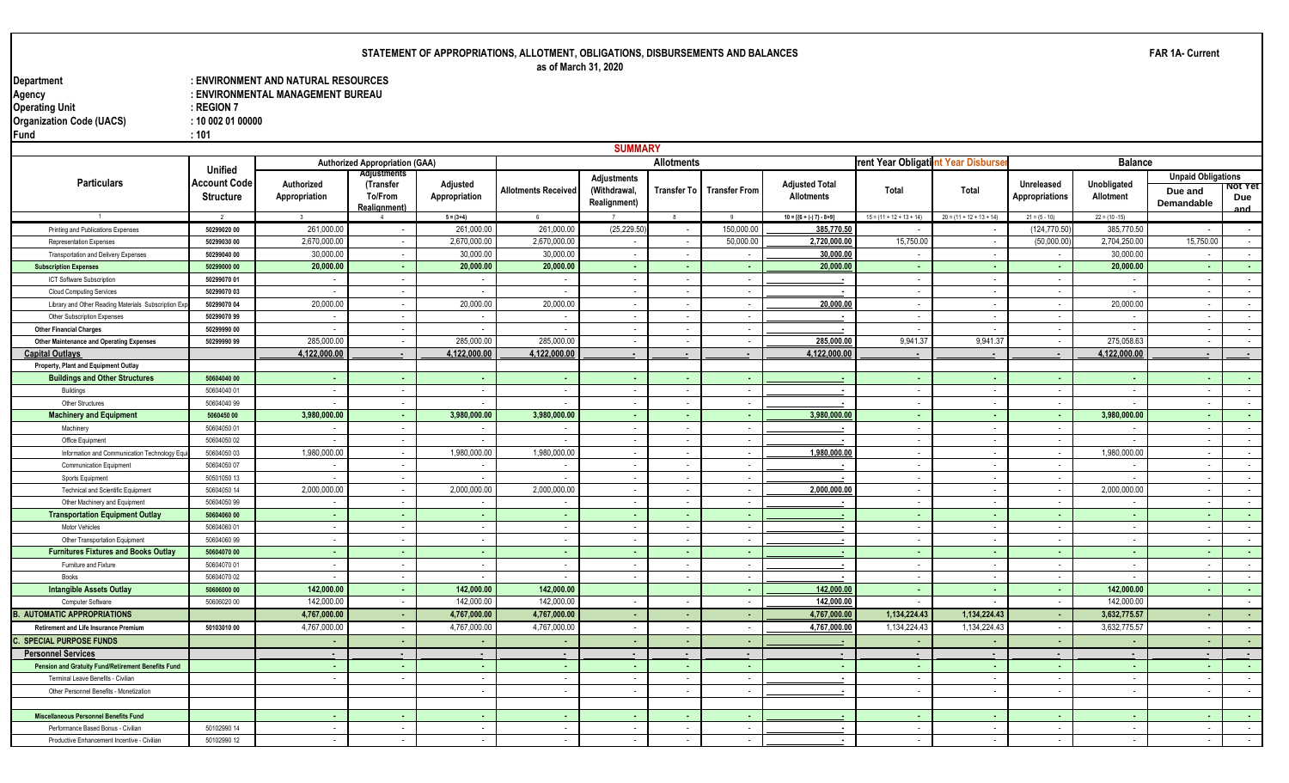# **STATEMENT OF APPROPRIATIONS, ALLOTMENT, OBLIGATIONS, DISBURSEMENTS AND BALANCES as of March 31, 2020**

**Department : ENVIRONMENT AND NATURAL RESOURCES** : ENVIRONMENTAL MANAGEMENT BUREAU<br>: REGION 7 **Operating Unit Contract Contract Contract Contract Contract Contract Contract Contract Contract Contract Contract Contract Contract Contract Contract Contract Contract Contract Contract Contract Contract Contract Contract Organization Code (UACS) : 10 002 01 00000 Fund : 101**

|                                                          |                            |                             |                                              |                                    |                            | <b>SUMMARY</b>               |                                    |                                      |                                            |                                   |                            |                                                      |                          |                                                      |                               |
|----------------------------------------------------------|----------------------------|-----------------------------|----------------------------------------------|------------------------------------|----------------------------|------------------------------|------------------------------------|--------------------------------------|--------------------------------------------|-----------------------------------|----------------------------|------------------------------------------------------|--------------------------|------------------------------------------------------|-------------------------------|
|                                                          |                            |                             | <b>Authorized Appropriation (GAA)</b>        |                                    |                            |                              | <b>Allotments</b>                  |                                      |                                            | rent Year Obligatint Year Disburs |                            |                                                      | <b>Balance</b>           |                                                      |                               |
| <b>Particulars</b>                                       | Unified                    |                             | <b>Adjustments</b>                           |                                    |                            | Adjustments                  |                                    |                                      |                                            |                                   |                            |                                                      |                          | <b>Unpaid Obligations</b>                            |                               |
|                                                          | Account Code<br>Structure  | Authorized<br>Appropriation | (Transfer<br>To/From<br><b>Realignment</b> ) | Adjusted<br>Appropriation          | <b>Allotments Received</b> | (Withdrawal,<br>Realignment) | Transfer To                        | <b>Transfer From</b>                 | <b>Adjusted Total</b><br><b>Allotments</b> | Total                             | Total                      | Unreleased<br><b>Appropriations</b>                  | Unobligated<br>Allotment | Due and<br>Demandable                                | <u> NOT TET</u><br>Due<br>and |
|                                                          | $\overline{2}$             | $\mathbf{3}$                |                                              | $5 = (3+4)$                        | - 6                        |                              | 8                                  |                                      | $10 = [{6 + (-7) - 8 + 9}]$                | $15 = (11 + 12 + 13 + 14)$        | $20 = (11 + 12 + 13 + 14)$ | $21 = (5 - 10)$                                      | $22 = (10 - 15)$         |                                                      |                               |
| Printing and Publications Expenses                       | 50299020 00                | 261,000.00                  | $\blacksquare$                               | 261,000.00                         | 261,000.00                 | (25, 229.50)                 | $\overline{\phantom{a}}$           | 150,000.00                           | 385,770.50                                 |                                   |                            | (124, 770.50                                         | 385,770.50               |                                                      | $\sim$                        |
| Representation Expenses                                  | 50299030 00                | 2,670,000.00                | $\sim$                                       | 2,670,000.00                       | 2,670,000.00               | $\overline{\phantom{a}}$     | $\sim$                             | 50,000.00                            | 2,720,000.00                               | 15,750.00                         |                            | (50,000.00)                                          | 2,704,250.00             | 15,750.00                                            | $\sim 10^{-11}$               |
| Transportation and Delivery Expenses                     | 50299040 00                | 30,000.00                   | $\sim$                                       | 30,000.00                          | 30,000.00                  | $\sim$                       | $\sim$                             | $\sim$                               | 30,000.00                                  | $\sim$                            | $\overline{\phantom{a}}$   | $\sim$                                               | 30,000.00                | $\sim$                                               | $\sim$ $-$                    |
| <b>Subscription Expenses</b>                             | 50299000 00                | 20,000.00                   | . н.                                         | 20,000.00                          | 20,000.00                  | . .                          | $\sim$                             | ۰.                                   | 20,000.00                                  | $\sim$                            |                            | ۰.                                                   | 20,000.00                | $\sim$                                               | $\sim$                        |
| ICT Software Subscription                                | 50299070 01                | $\sim$                      | $\sim$                                       | $\sim$                             | $\sim$                     | $\sim$                       | $\sim$                             | $\sim$                               | $\sim$                                     | $\sim$                            |                            | $\overline{\phantom{a}}$                             | $\overline{\phantom{a}}$ | $\overline{\phantom{a}}$                             | $\sim 10^{-1}$                |
| <b>Cloud Computing Services</b>                          | 50299070 03                | $\sim$                      | $\sim$                                       | $\overline{\phantom{a}}$           | $\sim$                     | $\overline{\phantom{a}}$     | $\sim$                             | $\overline{\phantom{a}}$             |                                            | $\sim$                            |                            | $\overline{\phantom{a}}$                             | $\overline{\phantom{a}}$ | $\overline{\phantom{a}}$                             | $\sim$                        |
| Library and Other Reading Materials Subscription Ex      | 50299070 04                | 20,000.00                   | $\sim$                                       | 20,000.00                          | 20,000.00                  | $\sim$                       | $\sim$                             | $\sim$                               | 20,000.0                                   | $\sim$                            |                            | $\overline{\phantom{a}}$                             | 20,000.00                | $\sim$                                               | $\sim$ $-$                    |
| Other Subscription Expenses                              | 50299070 99                |                             | $\overline{\phantom{a}}$                     |                                    |                            |                              | $\sim$                             | $\overline{\phantom{a}}$             | $\overline{\phantom{a}}$                   | $\sim$                            |                            | $\overline{\phantom{a}}$                             |                          | $\overline{\phantom{a}}$                             | $\sim$                        |
| <b>Other Financial Charges</b>                           | 50299990 00                |                             | $\sim$                                       |                                    |                            |                              | $\overline{\phantom{a}}$           | $\overline{\phantom{a}}$             |                                            |                                   |                            |                                                      |                          |                                                      | $\sim$                        |
| <b>Other Maintenance and Operating Expenses</b>          | 50299990 99                | 285,000.00                  | $\sim$                                       | 285.000.00                         | 285,000.0                  | $\overline{\phantom{a}}$     | $\overline{\phantom{a}}$           | $\sim$                               | 285,000.0                                  | 9,941.37                          | 9,941.37                   | $\overline{\phantom{a}}$                             | 275,058.63               | $\sim$                                               | $\sim$                        |
| <b>Capital Outlays</b>                                   |                            | 4,122,000.00                |                                              | 4,122,000.00                       | 4,122,000.00               |                              | $\blacksquare$                     | $\overline{\phantom{a}}$             | 4,122,000.0                                | $\blacksquare$                    |                            |                                                      | 4,122,000.00             |                                                      | $\overline{\phantom{a}}$      |
| Property, Plant and Equipment Outlay                     |                            |                             |                                              |                                    |                            |                              |                                    |                                      |                                            |                                   |                            |                                                      |                          |                                                      |                               |
| <b>Buildings and Other Structures</b>                    | 50604040 00                | $\sim$                      | <b>.</b>                                     | <b>.</b>                           |                            |                              | $\sim$                             | ۰.                                   |                                            | . .                               |                            | $\blacksquare$                                       |                          | ۰.                                                   | <b>Section</b>                |
| Buildings                                                | 50604040 01                | $\sim$                      | $\sim$                                       | $\sim$                             | $\overline{\phantom{a}}$   | $\sim$                       | $\sim$                             | $\sim$                               | . .                                        | $\sim$                            |                            | $\sim$                                               | $\overline{\phantom{a}}$ | $\sim$                                               | $\sim$ $-$                    |
| Other Structures                                         | 50604040 99                | $\overline{\phantom{a}}$    | $\sim$                                       | $\overline{\phantom{a}}$           |                            | $\overline{\phantom{a}}$     | $\sim$                             | $\sim$                               |                                            | $\sim$                            |                            | $\overline{\phantom{a}}$                             |                          | $\overline{\phantom{a}}$                             | $\sim$ $-$                    |
| <b>Machinery and Equipment</b>                           | 5060450 00                 | 3,980,000.00                | $\sim$                                       | 3,980,000.00                       | 3,980,000.00               | $\sim$                       | $\sim$                             | $\sim$                               | 3,980,000.00                               | $\sim$                            | $\sim$                     | $\sim$                                               | 3,980,000.00             | $\sim$                                               | <b>Contract</b>               |
| Machinery                                                | 50604050 01                | $\sim$                      | $\sim$                                       | $\sim$                             | $\sim$                     | $\sim$                       | $\sim$                             | $\sim$                               |                                            | $\sim$                            |                            | $\overline{\phantom{a}}$                             | $\overline{\phantom{a}}$ | $\overline{\phantom{a}}$                             | $\sim$                        |
| Office Equipment                                         | 50604050 02                | $\sim$                      | $\sim$                                       | $\overline{\phantom{a}}$           |                            | $\sim$                       | $\sim$                             | $\sim$                               |                                            | $\sim$                            |                            | $\sim$                                               |                          | $\overline{\phantom{a}}$                             | $\sim$                        |
| Information and Communication Technology Equ             | 50604050 03                | 1,980,000.00                | $\overline{a}$                               | 1.980.000.00                       | 1,980,000.00               | $\overline{a}$               | $\sim$                             | $\overline{\phantom{a}}$             | 1,980,000.00                               | $\sim$                            |                            | $\overline{\phantom{a}}$                             | 1,980,000.00             | $\sim$                                               | $\sim$                        |
| <b>Communication Equipment</b>                           | 50604050 07                | $\sim$                      | $\sim$                                       | $\sim$                             |                            | $\overline{\phantom{a}}$     | $\sim$                             | $\sim$                               |                                            | $\sim$                            |                            | $\overline{\phantom{a}}$                             |                          | $\sim$                                               | $\sim$                        |
| Sports Equipment                                         | 50501050 13                | $\overline{a}$              | $\overline{a}$                               | $\overline{\phantom{a}}$           |                            | $\overline{\phantom{a}}$     | $\sim$                             | $\sim$                               |                                            | $\sim$                            |                            | $\overline{\phantom{a}}$                             |                          | $\overline{\phantom{a}}$                             | $\sim$                        |
| <b>Technical and Scientific Equipment</b>                | 50604050 14                | 2,000,000.00                | $\sim$                                       | 2,000,000.00                       | 2,000,000.0                | $\overline{\phantom{a}}$     | $\sim$                             | $\sim$                               | 2,000,000.0                                | $\sim$                            |                            | $\sim$                                               | 2,000,000.00             | $\sim$                                               | $\sim$                        |
| Other Machinery and Equipment                            | 50604050 99                |                             |                                              | $\overline{\phantom{a}}$           |                            |                              | $\overline{\phantom{a}}$           | $\overline{\phantom{a}}$             |                                            | $\sim$                            |                            | $\overline{\phantom{a}}$                             |                          |                                                      | $\sim$                        |
| <b>Transportation Equipment Outlay</b><br>Motor Vehicles | 50604060 00<br>50604060 01 | $\sim$<br>$\sim$            | $\sim$<br>$\sim$                             | $\sim$<br>$\overline{\phantom{a}}$ | . .<br>$\sim$              |                              | $\sim$<br>$\overline{\phantom{a}}$ | <b>.</b><br>$\overline{\phantom{a}}$ |                                            | $\sim$<br>$\sim$                  |                            |                                                      |                          | ۰.                                                   | $\sim$<br>$\sim$              |
| Other Transportation Equipment                           | 50604060 99                | $\overline{a}$              | $\overline{a}$                               | $\sim$                             | $\overline{\phantom{a}}$   |                              | $\overline{\phantom{a}}$           | $\sim$                               |                                            | $\sim$                            |                            | $\overline{\phantom{a}}$<br>$\overline{\phantom{a}}$ | $\overline{\phantom{a}}$ | $\overline{\phantom{a}}$<br>$\overline{\phantom{a}}$ | $\sim$                        |
| <b>Furnitures Fixtures and Books Outlay</b>              | 50604070 00                | <b>A</b>                    | $\sim$                                       | $\sim$                             | - 1                        | $\sim$                       | $\sim$                             | - 1                                  | <b>COL</b>                                 |                                   |                            | $\sim$                                               | $\sim$                   | $\sim$                                               | $\sim 100$                    |
| Furniture and Fixture                                    | 50604070 01                | $\sim$                      | $\sim$                                       | $\sim$                             | $\sim$                     | $\overline{\phantom{a}}$     | $\sim$                             | $\sim$                               |                                            | $\sim$<br>$\sim$                  |                            | $\overline{\phantom{a}}$                             | $\sim$                   | $\sim$                                               | $\sim$                        |
| Books                                                    | 50604070 02                | $\sim$                      | $\sim$                                       | $\overline{a}$                     | $\overline{\phantom{a}}$   |                              | $\sim$                             | $\sim$                               |                                            | $\sim$                            |                            | $\sim$                                               | $\blacksquare$           | $\sim$                                               | $\sim$ $-$                    |
| <b>Intangible Assets Outlay</b>                          | 50606000 00                | 142,000.00                  | $\sim$                                       | 142.000.00                         | 142,000.00                 |                              |                                    | <b>.</b>                             | 142,000.00                                 | $\sim$                            |                            | $\sim$                                               | 142.000.00               | $\sim$                                               | $\sim$                        |
| Computer Software                                        | 50606020 00                | 142,000.00                  | $\overline{\phantom{a}}$                     | 142,000.00                         | 142,000.00                 |                              | $\sim$                             | $\sim$                               | 142,000.00                                 | $\overline{a}$                    |                            | $\overline{\phantom{a}}$                             | 142,000.00               |                                                      | $\sim$                        |
| <b>B. AUTOMATIC APPROPRIATIONS</b>                       |                            | 4,767,000.00                | $\sim$                                       | 4,767,000.00                       | 4,767,000.00               |                              | ж.                                 | ۰.                                   | 4,767,000.0                                | 1,134,224.43                      | 1,134,224.43               | $\sim$                                               | 3,632,775.57             |                                                      | $\sim$                        |
| <b>Retirement and Life Insurance Premium</b>             | 50103010 00                | 4,767,000.00                |                                              | 4.767.000.00                       | 4,767,000.0                |                              | $\overline{\phantom{a}}$           |                                      | 4,767,000.00                               | 1.134.224.43                      | 1.134.224.43               |                                                      | 3.632.775.57             |                                                      | $\sim$                        |
| <b>SPECIAL PURPOSE FUNDS</b>                             |                            |                             | ۰.                                           | $\sim$                             | $\sim$                     | ۰.                           | ۰.                                 | ٠.                                   |                                            | <b>COL</b>                        |                            | $\sim$                                               | ۰.                       | ٠.                                                   | <b>Section</b>                |
| <b>Personnel Services</b>                                |                            |                             |                                              | $\bullet$                          |                            |                              | $\blacksquare$                     |                                      |                                            | $\bullet$                         |                            |                                                      |                          |                                                      |                               |
| Pension and Gratuity Fund/Retirement Benefits Fund       |                            | <b>A</b>                    | $\sim$                                       | $\sim$ $-$                         | - 1                        | $\sim$                       | $\sim$                             | <b>COL</b>                           | $\sim$                                     | $\sim$                            |                            | $\sim$                                               | $\sim$                   | $\sim$                                               | <b>Contract</b>               |
| Terminal Leave Benefits - Civilian                       |                            | $\overline{a}$              |                                              | $\overline{\phantom{a}}$           | $\sim$                     |                              | $\sim$                             | $\overline{\phantom{a}}$             |                                            | $\sim$                            |                            |                                                      | $\sim$                   | $\overline{\phantom{a}}$                             | $\sim$                        |
| Other Personnel Benefits - Monetization                  |                            |                             |                                              | $\sim$                             | $\sim$                     |                              | $\sim$                             | $\sim$                               | $\blacksquare$                             | $\sim$                            |                            | $\overline{\phantom{a}}$                             | $\overline{\phantom{a}}$ | $\overline{\phantom{a}}$                             | $\sim$                        |
|                                                          |                            |                             |                                              |                                    |                            |                              |                                    |                                      |                                            |                                   |                            |                                                      |                          |                                                      |                               |
| <b>Miscellaneous Personnel Benefits Fund</b>             |                            |                             |                                              | <b>A</b>                           |                            |                              | $\sim$                             | <b>.</b>                             |                                            | . н.                              |                            |                                                      |                          | $\overline{\phantom{a}}$                             | <b>Section</b>                |
| Performance Based Bonus - Civilian                       | 50102990 14                | $\sim$                      | $\overline{\phantom{a}}$                     | $\sim$                             | $\sim$                     | $\sim$                       | $\sim$                             | $\sim$                               | $\sim$                                     | $\sim$                            |                            |                                                      | $\overline{\phantom{a}}$ | $\overline{\phantom{a}}$                             | $\sim$                        |
| Productive Enhancement Incentive - Civilian              | 50102990 12                |                             |                                              | $\overline{\phantom{a}}$           |                            |                              | $\blacksquare$                     | $\overline{\phantom{a}}$             |                                            | $\sim$                            |                            |                                                      |                          | $\overline{\phantom{a}}$                             | $\sim$                        |
|                                                          |                            |                             |                                              |                                    |                            |                              |                                    |                                      |                                            |                                   |                            |                                                      |                          |                                                      |                               |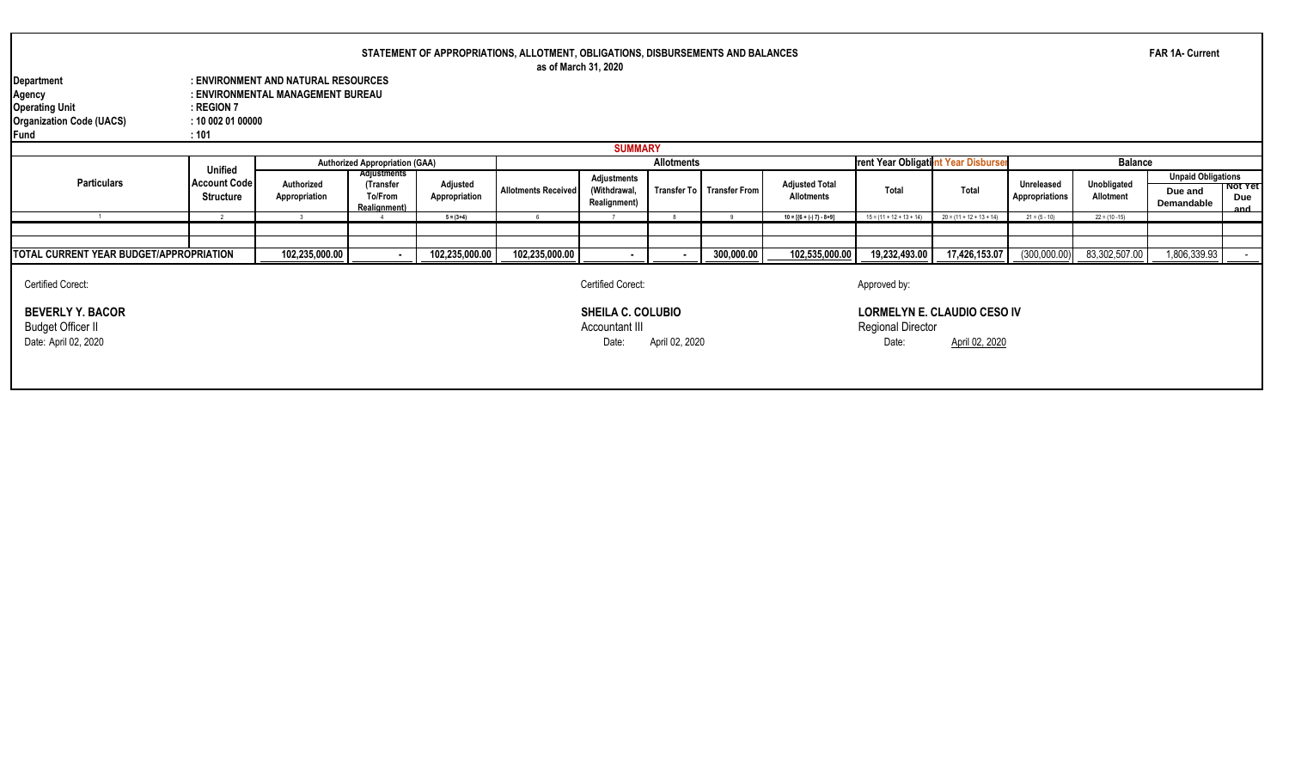|                                                                                          |                                                           |                                                                          |                                                            |                           | STATEMENT OF APPROPRIATIONS, ALLOTMENT, OBLIGATIONS, DISBURSEMENTS AND BALANCES<br>as of March 31, 2020 |                                                     |                   |                           |                                            |                                                                         |                            |                              |                          | <b>FAR 1A- Current</b>                             |                              |
|------------------------------------------------------------------------------------------|-----------------------------------------------------------|--------------------------------------------------------------------------|------------------------------------------------------------|---------------------------|---------------------------------------------------------------------------------------------------------|-----------------------------------------------------|-------------------|---------------------------|--------------------------------------------|-------------------------------------------------------------------------|----------------------------|------------------------------|--------------------------|----------------------------------------------------|------------------------------|
| Department<br>Agency<br><b>Operating Unit</b><br><b>Organization Code (UACS)</b><br>Fund | : REGION 7<br>: 100020100000<br>:101                      | : ENVIRONMENT AND NATURAL RESOURCES<br>: ENVIRONMENTAL MANAGEMENT BUREAU |                                                            |                           |                                                                                                         |                                                     |                   |                           |                                            |                                                                         |                            |                              |                          |                                                    |                              |
|                                                                                          |                                                           |                                                                          |                                                            |                           |                                                                                                         | <b>SUMMARY</b>                                      |                   |                           |                                            |                                                                         |                            |                              |                          |                                                    |                              |
|                                                                                          |                                                           |                                                                          | <b>Authorized Appropriation (GAA)</b>                      |                           |                                                                                                         |                                                     | <b>Allotments</b> |                           |                                            | rent Year Obligatint Year Disburser                                     |                            |                              | <b>Balance</b>           |                                                    |                              |
| <b>Particulars</b>                                                                       | <b>Unified</b><br><b>Account Code</b><br><b>Structure</b> | Authorized<br>Appropriation                                              | <b>Adjustments</b><br>(Transfer<br>To/From<br>Realignment) | Adjusted<br>Appropriation | <b>Allotments Received</b>                                                                              | Adjustments<br>(Withdrawal,<br>Realignment)         |                   | Transfer To Transfer From | <b>Adjusted Total</b><br><b>Allotments</b> | Total                                                                   | Total                      | Unreleased<br>Appropriations | Unobligated<br>Allotment | <b>Unpaid Obligations</b><br>Due and<br>Demandable | <b>NOT TET</b><br>Due<br>and |
|                                                                                          |                                                           |                                                                          |                                                            | $5 = (3+4)$               |                                                                                                         |                                                     |                   |                           | $10 = [{6 + (-7) - 8 + 9}]$                | $15 = (11 + 12 + 13 + 14)$                                              | $20 = (11 + 12 + 13 + 14)$ | $21 = (5 - 10)$              | $22 = (10 - 15)$         |                                                    |                              |
|                                                                                          |                                                           |                                                                          |                                                            |                           |                                                                                                         |                                                     |                   |                           |                                            |                                                                         |                            |                              |                          |                                                    |                              |
| TOTAL CURRENT YEAR BUDGET/APPROPRIATION                                                  |                                                           | 102,235,000.00                                                           |                                                            | 102,235,000.00            | 102,235,000.00                                                                                          |                                                     |                   | 300,000.00                | 102,535,000.00                             | 19,232,493.00                                                           | 17,426,153.07              | (300,000.00)                 | 83,302,507.00            | 1,806,339.93                                       |                              |
| <b>Certified Corect:</b>                                                                 |                                                           |                                                                          |                                                            |                           |                                                                                                         | Certified Corect:                                   |                   |                           |                                            | Approved by:                                                            |                            |                              |                          |                                                    |                              |
| <b>BEVERLY Y. BACOR</b><br><b>Budget Officer II</b><br>Date: April 02, 2020              |                                                           |                                                                          |                                                            |                           |                                                                                                         | <b>SHEILA C. COLUBIO</b><br>Accountant III<br>Date: | April 02, 2020    |                           |                                            | <b>LORMELYN E. CLAUDIO CESO IV</b><br><b>Regional Director</b><br>Date: | April 02, 2020             |                              |                          |                                                    |                              |